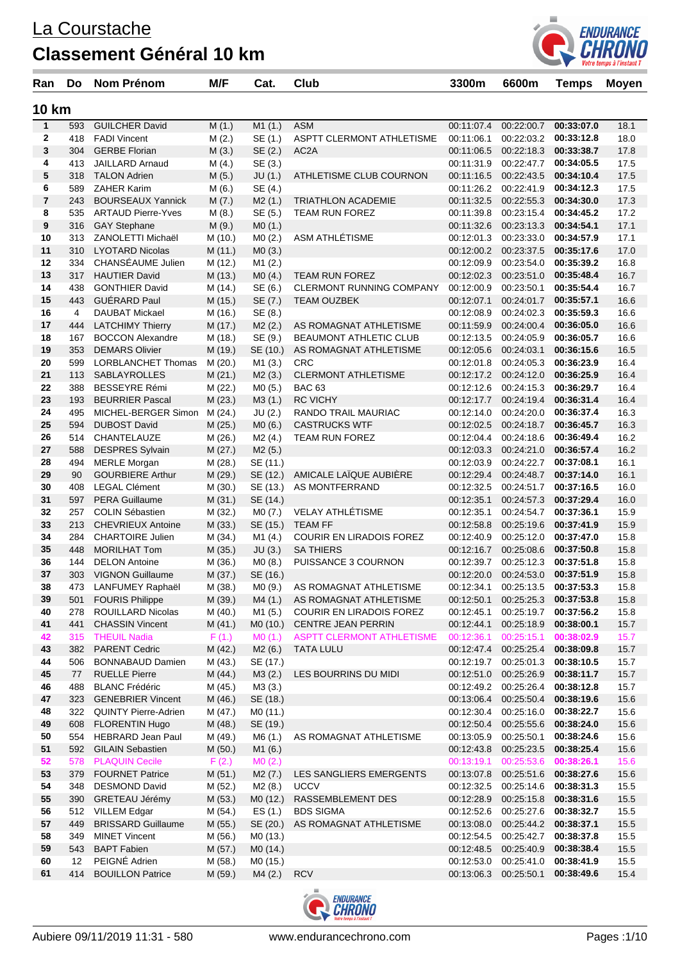

| Ran            | Do  | Nom Prénom                | M/F     | Cat.     | <b>Club</b>                      | 3300m                 | 6600m                            | <b>Temps</b> | <b>Moyen</b> |
|----------------|-----|---------------------------|---------|----------|----------------------------------|-----------------------|----------------------------------|--------------|--------------|
| 10 km          |     |                           |         |          |                                  |                       |                                  |              |              |
| 1              | 593 | <b>GUILCHER David</b>     | M(1.)   | M1(1.)   | <b>ASM</b>                       | 00:11:07.4            | 00:22:00.7                       | 00:33:07.0   | 18.1         |
| 2              |     | 418 FADI Vincent          | M(2.)   | SE (1.)  | ASPTT CLERMONT ATHLETISME        | 00:11:06.1            | 00:22:03.2                       | 00:33:12.8   | 18.0         |
| 3              | 304 | <b>GERBE Florian</b>      | M(3.)   | SE (2.)  | AC <sub>2</sub> A                |                       | 00:11:06.5 00:22:18.3            | 00:33:38.7   | 17.8         |
| 4              | 413 | <b>JAILLARD Arnaud</b>    | M(4.)   | SE (3.)  |                                  | 00:11:31.9            | 00:22:47.7                       | 00:34:05.5   | 17.5         |
| 5              | 318 | <b>TALON Adrien</b>       | M(5.)   | JU(1.)   | ATHLETISME CLUB COURNON          | 00:11:16.5            | 00:22:43.5                       | 00:34:10.4   | 17.5         |
| 6              | 589 | ZAHER Karim               | M(6.)   | SE (4.)  |                                  |                       | 00:11:26.2 00:22:41.9            | 00:34:12.3   | 17.5         |
| $\overline{7}$ | 243 | <b>BOURSEAUX Yannick</b>  | M(7.)   | M2(1.)   | <b>TRIATHLON ACADEMIE</b>        |                       | 00:11:32.5 00:22:55.3            | 00:34:30.0   | 17.3         |
| 8              | 535 | <b>ARTAUD Pierre-Yves</b> | M(8.)   | SE (5.)  | <b>TEAM RUN FOREZ</b>            | 00:11:39.8            | 00:23:15.4                       | 00:34:45.2   | 17.2         |
| 9              | 316 | <b>GAY Stephane</b>       | M(9.)   | MO(1.)   |                                  |                       | 00:11:32.6 00:23:13.3            | 00:34:54.1   | 17.1         |
| 10             |     | 313 ZANOLETTI Michaël     | M (10.) | MO(2.)   | ASM ATHLÉTISME                   |                       | 00:12:01.3 00:23:33.0            | 00:34:57.9   | 17.1         |
| 11             |     | 310 LYOTARD Nicolas       | M (11.) | MO(3.)   |                                  |                       | 00:12:00.2 00:23:37.5            | 00:35:17.6   | 17.0         |
| 12             |     | 334 CHANSÉAUME Julien     | M (12.) | M1(2.)   |                                  |                       | 00:12:09.9 00:23:54.0            | 00:35:39.2   | 16.8         |
| 13             |     | 317 HAUTIER David         | M (13.) | MO(4.)   | <b>TEAM RUN FOREZ</b>            |                       | 00:12:02.3 00:23:51.0            | 00:35:48.4   | 16.7         |
| 14             | 438 | <b>GONTHIER David</b>     | M (14.) | SE (6.)  | <b>CLERMONT RUNNING COMPANY</b>  |                       | 00:12:00.9 00:23:50.1            | 00:35:54.4   | 16.7         |
| 15             | 443 | GUÉRARD Paul              | M (15.) | SE (7.)  | <b>TEAM OUZBEK</b>               | 00:12:07.1            | 00:24:01.7                       | 00:35:57.1   | 16.6         |
| 16             | 4   | DAUBAT Mickael            | M (16.) | SE (8.)  |                                  | 00:12:08.9            | 00:24:02.3                       | 00:35:59.3   | 16.6         |
| 17             |     | 444 LATCHIMY Thierry      | M (17.) | M2(2.)   | AS ROMAGNAT ATHLETISME           |                       | 00:11:59.9 00:24:00.4            | 00:36:05.0   | 16.6         |
| 18             | 167 | <b>BOCCON Alexandre</b>   | M (18.) | SE (9.)  | BEAUMONT ATHLETIC CLUB           |                       | 00:12:13.5 00:24:05.9            | 00:36:05.7   | 16.6         |
| 19             | 353 | <b>DEMARS Olivier</b>     | M (19.) | SE (10.) | AS ROMAGNAT ATHLETISME           |                       | 00:12:05.6 00:24:03.1            | 00:36:15.6   | 16.5         |
| 20             | 599 | LORBLANCHET Thomas        | M(20.)  | M1 (3.)  | <b>CRC</b>                       |                       | 00:12:01.8 00:24:05.3            | 00:36:23.9   | 16.4         |
| 21             | 113 | SABLAYROLLES              | M(21.)  | M2(3.)   | <b>CLERMONT ATHLETISME</b>       |                       | 00:12:17.2 00:24:12.0            | 00:36:25.9   | 16.4         |
| 22             | 388 | BESSEYRE Rémi             | M (22.) | MO(5.)   | <b>BAC 63</b>                    |                       | 00:12:12.6 00:24:15.3            | 00:36:29.7   | 16.4         |
| 23             |     | 193 BEURRIER Pascal       | M (23.) | M3(1.)   | <b>RC VICHY</b>                  |                       | 00:12:17.7 00:24:19.4 00:36:31.4 |              | 16.4         |
| 24             | 495 | MICHEL-BERGER Simon       | M (24.) | JU(2.)   | RANDO TRAIL MAURIAC              |                       | 00:12:14.0 00:24:20.0            | 00:36:37.4   | 16.3         |
| 25             | 594 | <b>DUBOST David</b>       | M(25.)  | MO(6.)   | <b>CASTRUCKS WTF</b>             |                       | 00:12:02.5 00:24:18.7            | 00:36:45.7   | 16.3         |
| 26             | 514 | CHANTELAUZE               | M (26.) | M2 (4.)  | TEAM RUN FOREZ                   |                       | 00:12:04.4 00:24:18.6            | 00:36:49.4   | 16.2         |
| 27             | 588 | <b>DESPRES Sylvain</b>    | M (27.) | M2 (5.)  |                                  | 00:12:03.3 00:24:21.0 |                                  | 00:36:57.4   | 16.2         |
| 28             | 494 | <b>MERLE Morgan</b>       | M (28.) | SE (11.) |                                  |                       | 00:12:03.9 00:24:22.7            | 00:37:08.1   | 16.1         |
| 29             | 90  | <b>GOURBIERE Arthur</b>   | M (29.) | SE (12.) | AMICALE LAÏQUE AUBIÈRE           |                       | 00:12:29.4 00:24:48.7            | 00:37:14.0   | 16.1         |
| 30             | 408 | <b>LEGAL Clément</b>      | M (30.) | SE (13.) | AS MONTFERRAND                   |                       | 00:12:32.5 00:24:51.7            | 00:37:16.5   | 16.0         |
| 31             | 597 | <b>PERA Guillaume</b>     | M(31.)  | SE (14.) |                                  | 00:12:35.1            | 00:24:57.3                       | 00:37:29.4   | 16.0         |
| 32             | 257 | <b>COLIN Sébastien</b>    | M (32.) | M0 (7.)  | <b>VELAY ATHLÉTISME</b>          |                       | 00:12:35.1 00:24:54.7            | 00:37:36.1   | 15.9         |
| 33             | 213 | <b>CHEVRIEUX Antoine</b>  | M (33.) | SE (15.) | <b>TEAM FF</b>                   | 00:12:58.8            | 00:25:19.6                       | 00:37:41.9   | 15.9         |
| 34             |     | 284 CHARTOIRE Julien      | M (34.) | M1 (4.)  | COURIR EN LIRADOIS FOREZ         |                       | 00:12:40.9 00:25:12.0            | 00:37:47.0   | 15.8         |
| 35             | 448 | <b>MORILHAT Tom</b>       | M(35.)  | JU(3.)   | <b>SA THIERS</b>                 |                       | 00:12:16.7 00:25:08.6            | 00:37:50.8   | 15.8         |
| 36             | 144 | <b>DELON Antoine</b>      | M (36.) | MO(8.)   | PUISSANCE 3 COURNON              | 00:12:39.7            | 00:25:12.3                       | 00:37:51.8   | 15.8         |
| 37             | 303 | <b>VIGNON Guillaume</b>   | M (37.) | SE (16.) |                                  | 00:12:20.0            | 00:24:53.0                       | 00:37:51.9   | 15.8         |
| 38             | 473 | LANFUMEY Raphaël          | M (38.) | MO (9.)  | AS ROMAGNAT ATHLETISME           | 00:12:34.1            | 00:25:13.5                       | 00:37:53.3   | 15.8         |
| 39             | 501 | <b>FOURIS Philippe</b>    | M (39.) | M4 (1.)  | AS ROMAGNAT ATHLETISME           |                       | 00:12:50.1 00:25:25.3 00:37:53.8 |              | 15.8         |
| 40             | 278 | ROUILLARD Nicolas         | M (40.) | M1 (5.)  | COURIR EN LIRADOIS FOREZ         | 00:12:45.1            | 00:25:19.7                       | 00:37:56.2   | 15.8         |
| 41             | 441 | <b>CHASSIN Vincent</b>    | M(41.)  | MO (10.) | <b>CENTRE JEAN PERRIN</b>        |                       | 00:12:44.1  00:25:18.9           | 00:38:00.1   | 15.7         |
| 42             | 315 | <b>THEUIL Nadia</b>       | F(1.)   | MO(1.)   | <b>ASPTT CLERMONT ATHLETISME</b> | 00:12:36.1            | 00:25:15.1                       | 00:38:02.9   | 15.7         |
| 43             | 382 | <b>PARENT Cedric</b>      | M (42.) | M2(6.)   | <b>TATA LULU</b>                 |                       | 00:12:47.4  00:25:25.4           | 00:38:09.8   | 15.7         |
| 44             | 506 | <b>BONNABAUD Damien</b>   | M (43.) | SE (17.) |                                  |                       | 00:12:19.7 00:25:01.3            | 00:38:10.5   | 15.7         |
| 45             | 77  | <b>RUELLE Pierre</b>      | M (44.) | M3(2.)   | LES BOURRINS DU MIDI             |                       | 00:12:51.0 00:25:26.9            | 00:38:11.7   | 15.7         |
| 46             | 488 | <b>BLANC Frédéric</b>     | M (45.) | M3(3.)   |                                  |                       | 00:12:49.2 00:25:26.4            | 00:38:12.8   | 15.7         |
| 47             | 323 | <b>GENEBRIER Vincent</b>  | M (46.) | SE (18.) |                                  |                       | 00:13:06.4 00:25:50.4            | 00:38:19.6   | 15.6         |
| 48             |     | 322 QUINTY Pierre-Adrien  | M (47.) | M0 (11.) |                                  |                       | 00:12:30.4 00:25:16.0            | 00:38:22.7   | 15.6         |
| 49             | 608 | <b>FLORENTIN Hugo</b>     | M (48.) | SE (19.) |                                  |                       | 00:12:50.4 00:25:55.6            | 00:38:24.0   | 15.6         |
| 50             | 554 | HEBRARD Jean Paul         | M (49.) | M6 (1.)  | AS ROMAGNAT ATHLETISME           |                       | 00:13:05.9 00:25:50.1            | 00:38:24.6   | 15.6         |
| 51             |     | 592 GILAIN Sebastien      | M(50.)  | M1 (6.)  |                                  |                       | 00:12:43.8 00:25:23.5            | 00:38:25.4   | 15.6         |
| 52             | 578 | <b>PLAQUIN Cecile</b>     | F(2.)   | MO(2.)   |                                  |                       | 00:13:19.1  00:25:53.6           | 00:38:26.1   | 15.6         |
| 53             | 379 | <b>FOURNET Patrice</b>    | M(51.)  | M2(7.)   | LES SANGLIERS EMERGENTS          |                       | 00:13:07.8 00:25:51.6            | 00:38:27.6   | 15.6         |
| 54             | 348 | <b>DESMOND David</b>      | M (52.) | M2 (8.)  | <b>UCCV</b>                      |                       | 00:12:32.5 00:25:14.6            | 00:38:31.3   | 15.5         |
| 55             | 390 | GRETEAU Jérémy            | M(53.)  | MO (12.) | RASSEMBLEMENT DES                |                       | 00:12:28.9 00:25:15.8            | 00:38:31.6   | 15.5         |
| 56             |     | 512 VILLEM Edgar          | M (54.) | ES(1.)   | <b>BDS SIGMA</b>                 |                       | 00:12:52.6 00:25:27.6            | 00:38:32.7   | 15.5         |
| 57             | 449 | <b>BRISSARD Guillaume</b> | M (55.) | SE (20.) | AS ROMAGNAT ATHLETISME           |                       | 00:13:08.0  00:25:44.2           | 00:38:37.1   | 15.5         |
| 58             | 349 | <b>MINET Vincent</b>      | M (56.) | MO (13.) |                                  |                       | 00:12:54.5 00:25:42.7            | 00:38:37.8   | 15.5         |
| 59             | 543 | <b>BAPT Fabien</b>        | M (57.) | MO (14.) |                                  |                       | 00:12:48.5 00:25:40.9            | 00:38:38.4   | 15.5         |
| 60             | 12  | PEIGNÉ Adrien             | M (58.) | MO (15.) |                                  |                       | 00:12:53.0 00:25:41.0            | 00:38:41.9   | 15.5         |
| 61             | 414 | <b>BOUILLON Patrice</b>   | M (59.) | M4 (2.)  | <b>RCV</b>                       | 00:13:06.3 00:25:50.1 |                                  | 00:38:49.6   | 15.4         |

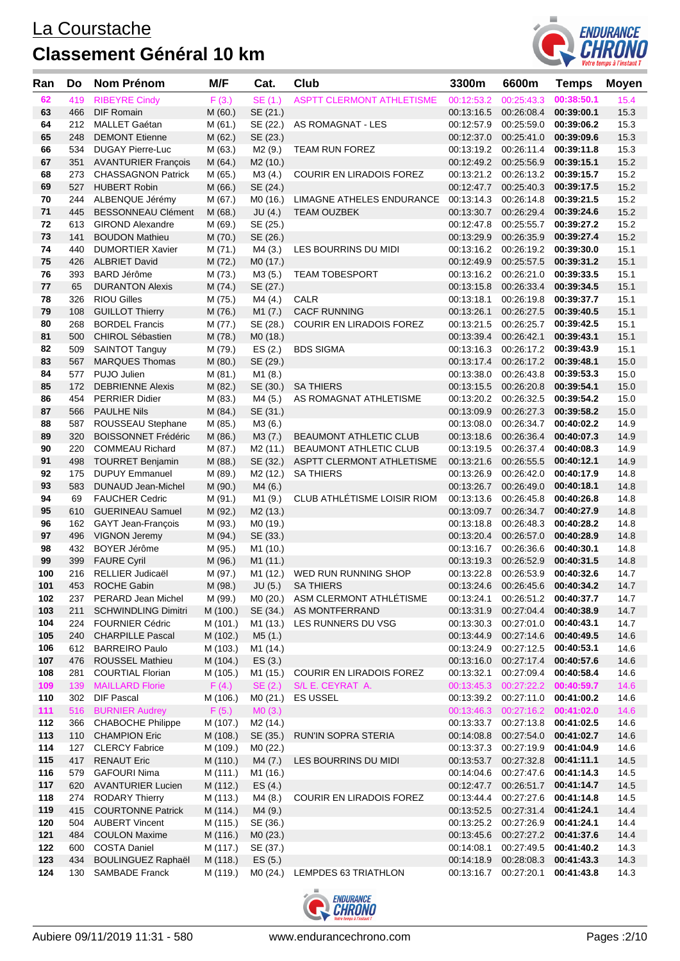

| Ran        | Do         | Nom Prénom                                      | M/F                  | Cat.                 | Club                             | 3300m                    | 6600m                                                     | <b>Temps</b>             | Moyen        |
|------------|------------|-------------------------------------------------|----------------------|----------------------|----------------------------------|--------------------------|-----------------------------------------------------------|--------------------------|--------------|
| 62         | 419        | <b>RIBEYRE Cindy</b>                            | F(3.)                | SE (1.)              | <b>ASPTT CLERMONT ATHLETISME</b> | 00:12:53.2               | 00:25:43.3                                                | 00:38:50.1               | 15.4         |
| 63         | 466        | <b>DIF Romain</b>                               | M(60.)               | SE (21.)             |                                  | 00:13:16.5               | 00:26:08.4                                                | 00:39:00.1               | 15.3         |
| 64         | 212        | <b>MALLET Gaétan</b>                            | M (61.)              | SE (22.)             | AS ROMAGNAT - LES                |                          | 00:12:57.9 00:25:59.0                                     | 00:39:06.2               | 15.3         |
| 65         | 248        | <b>DEMONT Etienne</b>                           | M (62.)              | SE (23.)             |                                  |                          | 00:12:37.0 00:25:41.0                                     | 00:39:09.6               | 15.3         |
| 66         | 534        | <b>DUGAY Pierre-Luc</b>                         | M (63.)              | M2 (9.)              | <b>TEAM RUN FOREZ</b>            |                          | 00:13:19.2 00:26:11.4                                     | 00:39:11.8               | 15.3         |
| 67         | 351        | <b>AVANTURIER François</b>                      | M(64.)               | M2 (10.)             |                                  |                          | 00:12:49.2 00:25:56.9                                     | 00:39:15.1               | 15.2         |
| 68         | 273        | <b>CHASSAGNON Patrick</b>                       | M (65.)              | M3 (4.)              | <b>COURIR EN LIRADOIS FOREZ</b>  | 00:13:21.2               | 00:26:13.2 00:39:15.7                                     |                          | 15.2         |
| 69         | 527        | <b>HUBERT Robin</b>                             | M(66.)               | SE (24.)             |                                  | 00:12:47.7               | 00:25:40.3                                                | 00:39:17.5               | 15.2         |
| 70         | 244        | ALBENQUE Jérémy                                 | M (67.)              | MO (16.)             | <b>LIMAGNE ATHELES ENDURANCE</b> | 00:13:14.3 00:26:14.8    |                                                           | 00:39:21.5               | 15.2         |
| 71         | 445        | <b>BESSONNEAU Clément</b>                       | M(68.)               | JU(4.)               | <b>TEAM OUZBEK</b>               |                          | 00:13:30.7 00:26:29.4 00:39:24.6                          |                          | 15.2         |
| 72<br>73   | 613        | <b>GIROND Alexandre</b>                         | M (69.)              | SE (25.)             |                                  | 00:12:47.8               | 00:25:55.7                                                | 00:39:27.2               | 15.2         |
| 74         | 141<br>440 | <b>BOUDON Mathieu</b>                           | M (70.)              | SE (26.)             |                                  | 00:13:29.9               | 00:26:35.9<br>00:13:16.2 00:26:19.2 00:39:30.0            | 00:39:27.4               | 15.2         |
| 75         | 426        | <b>DUMORTIER Xavier</b><br><b>ALBRIET David</b> | M (71.)              | M4 (3.)              | LES BOURRINS DU MIDI             | 00:12:49.9               | 00:25:57.5                                                | 00:39:31.2               | 15.1<br>15.1 |
| 76         | 393        | BARD Jérôme                                     | M (72.)<br>M (73.)   | MO (17.)<br>M3 (5.)  | <b>TEAM TOBESPORT</b>            |                          | 00:13:16.2 00:26:21.0                                     | 00:39:33.5               | 15.1         |
| 77         | 65         | <b>DURANTON Alexis</b>                          | M (74.)              | SE (27.)             |                                  |                          | 00:13:15.8 00:26:33.4                                     | 00:39:34.5               | 15.1         |
| 78         | 326        | <b>RIOU Gilles</b>                              | M (75.)              | M4 (4.)              | CALR                             | 00:13:18.1               | 00:26:19.8                                                | 00:39:37.7               | 15.1         |
| 79         | 108        | <b>GUILLOT Thierry</b>                          | M (76.)              | M1 (7.)              | <b>CACF RUNNING</b>              | 00:13:26.1               | 00:26:27.5                                                | 00:39:40.5               | 15.1         |
| 80         | 268        | <b>BORDEL Francis</b>                           | M (77.)              | SE (28.)             | COURIR EN LIRADOIS FOREZ         | 00:13:21.5               | 00:26:25.7                                                | 00:39:42.5               | 15.1         |
| 81         | 500        | CHIROL Sébastien                                | M (78.)              | MO (18.)             |                                  | 00:13:39.4               | 00:26:42.1                                                | 00:39:43.1               | 15.1         |
| 82         | 509        | <b>SAINTOT Tanguy</b>                           | M (79.)              | ES(2.)               | <b>BDS SIGMA</b>                 |                          | 00:13:16.3 00:26:17.2 00:39:43.9                          |                          | 15.1         |
| 83         | 567        | <b>MARQUES Thomas</b>                           | M (80.)              | SE (29.)             |                                  | 00:13:17.4               | 00:26:17.2 00:39:48.1                                     |                          | 15.0         |
| 84         | 577        | PUJO Julien                                     | M (81.)              | M1 (8.)              |                                  | 00:13:38.0               | 00:26:43.8                                                | 00:39:53.3               | 15.0         |
| 85         | 172        | <b>DEBRIENNE Alexis</b>                         | M (82.)              | SE (30.)             | <b>SA THIERS</b>                 | 00:13:15.5               | 00:26:20.8                                                | 00:39:54.1               | 15.0         |
| 86         | 454        | <b>PERRIER Didier</b>                           | M (83.)              | M4 (5.)              | AS ROMAGNAT ATHLETISME           |                          | 00:13:20.2 00:26:32.5                                     | 00:39:54.2               | 15.0         |
| 87         | 566        | <b>PAULHE Nils</b>                              | M (84.)              | SE (31.)             |                                  | 00:13:09.9               | 00:26:27.3                                                | 00:39:58.2               | 15.0         |
| 88         | 587        | ROUSSEAU Stephane                               | M (85.)              | M3 (6.)              |                                  | 00:13:08.0               | 00:26:34.7 00:40:02.2                                     |                          | 14.9         |
| 89         | 320        | <b>BOISSONNET Frédéric</b>                      | M (86.)              | M3(7.)               | BEAUMONT ATHLETIC CLUB           | 00:13:18.6               | 00:26:36.4                                                | 00:40:07.3               | 14.9         |
| 90         | 220        | <b>COMMEAU Richard</b>                          | M (87.)              | M <sub>2</sub> (11.) | BEAUMONT ATHLETIC CLUB           | 00:13:19.5               | 00:26:37.4                                                | 00:40:08.3               | 14.9         |
| 91         | 498        | <b>TOURRET Benjamin</b>                         | M (88.)              | SE (32.)             | ASPTT CLERMONT ATHLETISME        | 00:13:21.6               | 00:26:55.5                                                | 00:40:12.1               | 14.9         |
| 92         | 175        | <b>DUPUY Emmanuel</b>                           | M (89.)              | M <sub>2</sub> (12.) | <b>SA THIERS</b>                 | 00:13:26.9               | 00:26:42.0                                                | 00:40:17.9               | 14.8         |
| 93         | 583        | <b>DUNAUD Jean-Michel</b>                       | M (90.)              | M4 (6.)              |                                  |                          | 00:13:26.7 00:26:49.0                                     | 00:40:18.1               | 14.8         |
| 94         | 69         | <b>FAUCHER Cedric</b>                           | M (91.)              | M1 (9.)              | CLUB ATHLÉTISME LOISIR RIOM      | 00:13:13.6               | 00:26:45.8                                                | 00:40:26.8               | 14.8         |
| 95<br>96   | 610        | <b>GUERINEAU Samuel</b>                         | M (92.)              | M <sub>2</sub> (13.) |                                  | 00:13:09.7               | 00:26:34.7<br>00:26:48.3                                  | 00:40:27.9               | 14.8         |
| 97         | 162<br>496 | GAYT Jean-François<br><b>VIGNON Jeremy</b>      | M (93.)              | M0 (19.)<br>SE (33.) |                                  | 00:13:18.8<br>00:13:20.4 | 00:26:57.0                                                | 00:40:28.2<br>00:40:28.9 | 14.8<br>14.8 |
| 98         | 432        | BOYER Jérôme                                    | M (94.)<br>M (95.)   | M1 (10.)             |                                  | 00:13:16.7               | 00:26:36.6                                                | 00:40:30.1               | 14.8         |
| 99         | 399        | <b>FAURE Cyril</b>                              | M (96.)              | M1(11.)              |                                  |                          | 00:13:19.3 00:26:52.9                                     | 00:40:31.5               | 14.8         |
| 100        | 216        | RELLIER Judicaël                                | M (97.)              | M1 (12.)             | WED RUN RUNNING SHOP             | 00:13:22.8               | 00:26:53.9                                                | 00:40:32.6               | 14.7         |
| 101        | 453        | ROCHE Gabin                                     | M (98.)              |                      | JU (5.) SA THIERS                |                          | 00:13:24.6 00:26:45.6 00:40:34.2                          |                          | 14.7         |
| 102        |            | 237 PERARD Jean Michel                          | M (99.)              |                      | M0 (20.) ASM CLERMONT ATHLETISME |                          | 00:13:24.1  00:26:51.2  00:40:37.7                        |                          | 14.7         |
| 103        | 211        | <b>SCHWINDLING Dimitri</b>                      | M (100.)             | SE (34.)             | AS MONTFERRAND                   | 00:13:31.9               | 00:27:04.4                                                | 00:40:38.9               | 14.7         |
| 104        |            | 224 FOURNIER Cédric                             | M (101.)             | M1 (13.)             | LES RUNNERS DU VSG               |                          | 00:13:30.3 00:27:01.0 00:40:43.1                          |                          | 14.7         |
| 105        | 240        | <b>CHARPILLE Pascal</b>                         | M (102.)             | M5(1.)               |                                  |                          | 00:13:44.9 00:27:14.6 00:40:49.5                          |                          | 14.6         |
| 106        | 612        | <b>BARREIRO Paulo</b>                           | M (103.)             | M1 (14.)             |                                  | 00:13:24.9               | 00:27:12.5 00:40:53.1                                     |                          | 14.6         |
| 107        | 476        | <b>ROUSSEL Mathieu</b>                          | M (104.)             | ES(3.)               |                                  |                          | 00:13:16.0 00:27:17.4 00:40:57.6                          |                          | 14.6         |
| 108        | 281        | <b>COURTIAL Florian</b>                         | M (105.)             | M1 (15.)             | <b>COURIR EN LIRADOIS FOREZ</b>  | 00:13:32.1               | 00:27:09.4 00:40:58.4                                     |                          | 14.6         |
| 109        | 139        | <b>MAILLARD Florie</b>                          | F(4.)                | SE(2.)               | S/L E. CEYRAT A.                 |                          | 00:13:45.3  00:27:22.2  00:40:59.7                        |                          | 14.6         |
| 110        | 302        | <b>DIF Pascal</b>                               | M (106.)             | M0 (21.)             | ES USSEL                         |                          | 00:13:39.2 00:27:11.0 00:41:00.2                          |                          | 14.6         |
| 111        | 516        | <b>BURNIER Audrey</b>                           | F(5.)                | MO(3.)               |                                  |                          | 00:13:46.3  00:27:16.2  00:41:02.0                        |                          | 14.6         |
| 112        | 366        | <b>CHABOCHE Philippe</b>                        | M (107.)             | M <sub>2</sub> (14.) |                                  | 00:13:33.7               | 00:27:13.8                                                | 00:41:02.5               | 14.6         |
| 113        | 110        | <b>CHAMPION Eric</b>                            | M (108.)             | SE (35.)             | RUN'IN SOPRA STERIA              | 00:14:08.8               | 00:27:54.0 00:41:02.7                                     |                          | 14.6         |
| 114<br>115 | 417        | 127 CLERCY Fabrice<br><b>RENAUT Eric</b>        | M (109.)             | M0 (22.)             | LES BOURRINS DU MIDI             |                          | 00:13:37.3 00:27:19.9<br>00:13:53.7 00:27:32.8 00:41:11.1 | 00:41:04.9               | 14.6         |
| 116        | 579        | <b>GAFOURI Nima</b>                             | M (110.)<br>M (111.) | M4 (7.)<br>M1 (16.)  |                                  |                          | 00:14:04.6 00:27:47.6                                     | 00:41:14.3               | 14.5<br>14.5 |
| 117        | 620        | <b>AVANTURIER Lucien</b>                        | M (112.)             | ES (4.)              |                                  | 00:12:47.7               | 00:26:51.7 00:41:14.7                                     |                          | 14.5         |
| 118        | 274        | <b>RODARY Thierry</b>                           | M (113.)             | M4 (8.)              | <b>COURIR EN LIRADOIS FOREZ</b>  | 00:13:44.4               | 00:27:27.6                                                | 00:41:14.8               | 14.5         |
| 119        | 415        | <b>COURTONNE Patrick</b>                        | M (114.)             | M4 (9.)              |                                  | 00:13:52.5               | 00:27:31.4                                                | 00:41:24.1               | 14.4         |
| 120        | 504        | <b>AUBERT Vincent</b>                           | M (115.)             | SE (36.)             |                                  |                          | 00:13:25.2 00:27:26.9 00:41:24.1                          |                          | 14.4         |
| 121        | 484        | <b>COULON Maxime</b>                            | M (116.)             | MO(23.)              |                                  |                          | 00:13:45.6 00:27:27.2 00:41:37.6                          |                          | 14.4         |
| 122        | 600        | <b>COSTA Daniel</b>                             | M (117.)             | SE (37.)             |                                  | 00:14:08.1               | 00:27:49.5 00:41:40.2                                     |                          | 14.3         |
| 123        | 434        | <b>BOULINGUEZ Raphaël</b>                       | M (118.)             | ES(5.)               |                                  | 00:14:18.9               | 00:28:08.3                                                | 00:41:43.3               | 14.3         |
| 124        | 130        | <b>SAMBADE Franck</b>                           | M (119.)             |                      | M0 (24.) LEMPDES 63 TRIATHLON    |                          | 00:13:16.7 00:27:20.1 00:41:43.8                          |                          | 14.3         |

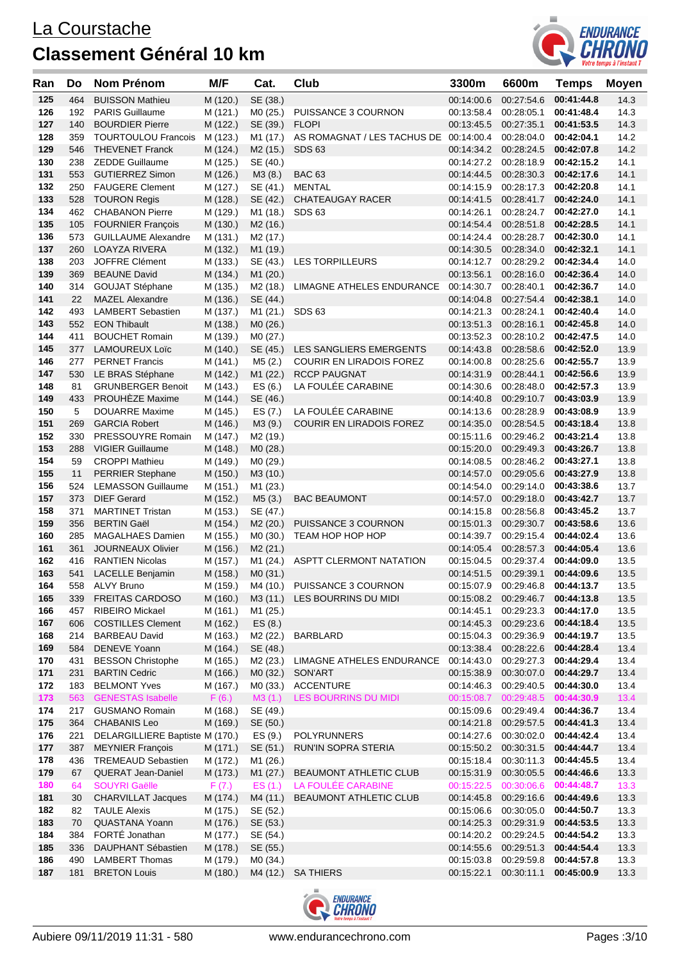

| Ran        | Do         | <b>Nom Prénom</b>                            | M/F                  | Cat.                 | Club                                                     | 3300m                 | 6600m                                                                | <b>Temps</b>             | <b>Moyen</b> |
|------------|------------|----------------------------------------------|----------------------|----------------------|----------------------------------------------------------|-----------------------|----------------------------------------------------------------------|--------------------------|--------------|
| 125        | 464        | <b>BUISSON Mathieu</b>                       | M (120.)             | SE (38.)             |                                                          | 00:14:00.6            | 00:27:54.6                                                           | 00:41:44.8               | 14.3         |
| 126        | 192        | <b>PARIS Guillaume</b>                       | M (121.)             | MO (25.)             | PUISSANCE 3 COURNON                                      | 00:13:58.4            | 00:28:05.1                                                           | 00:41:48.4               | 14.3         |
| 127        | 140        | <b>BOURDIER Pierre</b>                       | M (122.)             | SE (39.)             | <b>FLOPI</b>                                             | 00:13:45.5            | 00:27:35.1                                                           | 00:41:53.5               | 14.3         |
| 128        | 359        | <b>TOURTOULOU Francois</b>                   | M (123.)             | M1 (17.)             | AS ROMAGNAT / LES TACHUS DE 00:14:00.4                   |                       | 00:28:04.0                                                           | 00:42:04.1               | 14.2         |
| 129        | 546        | <b>THEVENET Franck</b>                       | M (124.)             | M <sub>2</sub> (15.) | SDS <sub>63</sub>                                        | 00:14:34.2            | 00:28:24.5                                                           | 00:42:07.8               | 14.2         |
| 130        | 238        | <b>ZEDDE Guillaume</b>                       | M (125.)             | SE (40.)             |                                                          | 00:14:27.2 00:28:18.9 |                                                                      | 00:42:15.2               | 14.1         |
| 131        | 553        | <b>GUTIERREZ Simon</b>                       | M (126.)             | M3(8.)               | <b>BAC 63</b>                                            | 00:14:44.5            | 00:28:30.3                                                           | 00:42:17.6               | 14.1         |
| 132        | 250        | <b>FAUGERE Clement</b>                       | M (127.)             | SE (41.)             | <b>MENTAL</b>                                            | 00:14:15.9            | 00:28:17.3                                                           | 00:42:20.8               | 14.1         |
| 133        | 528        | <b>TOURON Regis</b>                          | M (128.)             | SE (42.)             | <b>CHATEAUGAY RACER</b>                                  | 00:14:41.5            | 00:28:41.7                                                           | 00:42:24.0               | 14.1         |
| 134        | 462        | <b>CHABANON Pierre</b>                       | M (129.)             | M1 (18.)             | SDS <sub>63</sub>                                        | 00:14:26.1            | 00:28:24.7                                                           | 00:42:27.0               | 14.1         |
| 135        | 105        | <b>FOURNIER François</b>                     | M (130.)             | M <sub>2</sub> (16.) |                                                          | 00:14:54.4            | 00:28:51.8                                                           | 00:42:28.5               | 14.1         |
| 136        | 573        | <b>GUILLAUME Alexandre</b>                   | M (131.)             | M2 (17.)             |                                                          | 00:14:24.4 00:28:28.7 |                                                                      | 00:42:30.0               | 14.1         |
| 137        | 260        | <b>LOAYZA RIVERA</b>                         | M (132.)             | M1 (19.)             |                                                          | 00:14:30.5            | 00:28:34.0                                                           | 00:42:32.1               | 14.1         |
| 138        | 203        | JOFFRE Clément                               | M (133.)             | SE (43.)             | <b>LES TORPILLEURS</b>                                   | 00:14:12.7            | 00:28:29.2 00:42:34.4                                                |                          | 14.0         |
| 139        | 369        | <b>BEAUNE David</b>                          | M (134.)             | M <sub>1</sub> (20.) |                                                          | 00:13:56.1            | 00:28:16.0 00:42:36.4                                                |                          | 14.0         |
| 140        | 314        | <b>GOUJAT Stéphane</b>                       | M (135.)             | M <sub>2</sub> (18.) | LIMAGNE ATHELES ENDURANCE                                | 00:14:30.7            | 00:28:40.1                                                           | 00:42:36.7               | 14.0         |
| 141        | 22         | <b>MAZEL Alexandre</b>                       | M (136.)             | SE (44.)             |                                                          | 00:14:04.8            | 00:27:54.4                                                           | 00:42:38.1               | 14.0         |
| 142        | 493        | <b>LAMBERT Sebastien</b>                     | M (137.)             | M1 (21.)             | SDS <sub>63</sub>                                        | 00:14:21.3            | 00:28:24.1                                                           | 00:42:40.4               | 14.0         |
| 143        | 552        | <b>EON Thibault</b>                          | M (138.)             | MO (26.)             |                                                          | 00:13:51.3            | 00:28:16.1                                                           | 00:42:45.8               | 14.0         |
| 144        | 411        | <b>BOUCHET Romain</b>                        | M (139.)             | M0 (27.)             |                                                          | 00:13:52.3            | 00:28:10.2                                                           | 00:42:47.5               | 14.0         |
| 145        | 377        | <b>LAMOUREUX Loïc</b>                        | M (140.)             | SE (45.)             | LES SANGLIERS EMERGENTS                                  | 00:14:43.8            | 00:28:58.6                                                           | 00:42:52.0               | 13.9         |
| 146        | 277        | <b>PERNET Francis</b>                        | M (141.)             | M5(2.)               | <b>COURIR EN LIRADOIS FOREZ</b>                          | 00:14:00.8            | 00:28:25.6                                                           | 00:42:55.7               | 13.9         |
| 147        | 530        | LE BRAS Stéphane                             | M (142.)             | M1 (22.)             | <b>RCCP PAUGNAT</b>                                      | 00:14:31.9            | 00:28:44.1                                                           | 00:42:56.6               | 13.9         |
| 148        | 81         | <b>GRUNBERGER Benoit</b>                     | M (143.)             | ES(6.)               | LA FOULÉE CARABINE                                       | 00:14:30.6            | 00:28:48.0                                                           | 00:42:57.3               | 13.9         |
| 149<br>150 | 433<br>5   | PROUHEZE Maxime                              | M (144.)             | SE (46.)             | LA FOULÉE CARABINE                                       | 00:14:40.8            | 00:29:10.7                                                           | 00:43:03.9<br>00:43:08.9 | 13.9         |
| 151        |            | <b>DOUARRE Maxime</b>                        | M (145.)             | ES (7.)              |                                                          | 00:14:13.6            | 00:28:28.9<br>00:28:54.5                                             |                          | 13.9         |
| 152        | 269<br>330 | <b>GARCIA Robert</b>                         | M (146.)             | M3 (9.)              | COURIR EN LIRADOIS FOREZ                                 | 00:14:35.0            |                                                                      | 00:43:18.4               | 13.8         |
| 153        | 288        | PRESSOUYRE Romain<br><b>VIGIER Guillaume</b> | M (147.)<br>M (148.) | M2 (19.)             |                                                          |                       | 00:15:11.6 00:29:46.2 00:43:21.4<br>00:15:20.0 00:29:49.3 00:43:26.7 |                          | 13.8<br>13.8 |
| 154        | 59         | <b>CROPPI Mathieu</b>                        | M (149.)             | MO (28.)<br>MO (29.) |                                                          | 00:14:08.5            | 00:28:46.2                                                           | 00:43:27.1               | 13.8         |
| 155        | 11         | <b>PERRIER Stephane</b>                      | M (150.)             | M3 (10.)             |                                                          | 00:14:57.0            | 00:29:05.6                                                           | 00:43:27.9               | 13.8         |
| 156        | 524        | <b>LEMASSON Guillaume</b>                    | M (151.)             | M1 (23.)             |                                                          | 00:14:54.0            | 00:29:14.0                                                           | 00:43:38.6               | 13.7         |
| 157        | 373        | <b>DIEF Gerard</b>                           | M (152.)             | M5(3.)               | <b>BAC BEAUMONT</b>                                      | 00:14:57.0            | 00:29:18.0                                                           | 00:43:42.7               | 13.7         |
| 158        | 371        | <b>MARTINET Tristan</b>                      | M (153.)             | SE (47.)             |                                                          | 00:14:15.8            | 00:28:56.8                                                           | 00:43:45.2               | 13.7         |
| 159        | 356        | <b>BERTIN Gaël</b>                           | M (154.)             | M2 (20.)             | PUISSANCE 3 COURNON                                      | 00:15:01.3            | 00:29:30.7                                                           | 00:43:58.6               | 13.6         |
| 160        | 285        | <b>MAGALHAES Damien</b>                      | M (155.)             | MO (30.)             | TEAM HOP HOP HOP                                         | 00:14:39.7            | 00:29:15.4                                                           | 00:44:02.4               | 13.6         |
| 161        | 361        | <b>JOURNEAUX Olivier</b>                     | M (156.)             | M2(21.)              |                                                          | 00:14:05.4            | 00:28:57.3                                                           | 00:44:05.4               | 13.6         |
| 162        | 416        | <b>RANTIEN Nicolas</b>                       | M (157.)             | M1 (24.)             | ASPTT CLERMONT NATATION                                  | 00:15:04.5            | 00:29:37.4                                                           | 00:44:09.0               | 13.5         |
| 163        | 541        | LACELLE Benjamin                             | M (158.)             | MO (31.)             |                                                          |                       | 00:14:51.5 00:29:39.1 00:44:09.6                                     |                          | 13.5         |
| 164        |            | 558 ALVY Bruno                               |                      |                      | M (159.) M4 (10.) PUISSANCE 3 COURNON                    |                       | 00:15:07.9  00:29:46.8  00:44:13.7                                   |                          | 13.5         |
| 165        | 339        | <b>FREITAS CARDOSO</b>                       | M (160.)             |                      | M3 (11.) LES BOURRINS DU MIDI                            |                       | 00:15:08.2  00:29:46.7  00:44:13.8                                   |                          | 13.5         |
| 166        | 457        | RIBEIRO Mickael                              | M (161.)             | M1 (25.)             |                                                          | 00:14:45.1            | 00:29:23.3                                                           | 00:44:17.0               | 13.5         |
| 167        | 606        | <b>COSTILLES Clement</b>                     | M (162.)             | ES(8.)               |                                                          | 00:14:45.3            | 00:29:23.6 00:44:18.4                                                |                          | 13.5         |
| 168        | 214        | <b>BARBEAU David</b>                         | M (163.)             | M2 (22.)             | <b>BARBLARD</b>                                          | 00:15:04.3            | 00:29:36.9                                                           | 00:44:19.7               | 13.5         |
| 169        | 584        | DENEVE Yoann                                 | M (164.)             | SE (48.)             |                                                          |                       | 00:13:38.4 00:28:22.6 00:44:28.4                                     |                          | 13.4         |
| 170        | 431        | <b>BESSON Christophe</b>                     | M (165.)             |                      | M2 (23.) LIMAGNE ATHELES ENDURANCE 00:14:43.0 00:29:27.3 |                       |                                                                      | 00:44:29.4               | 13.4         |
| 171        | 231        | <b>BARTIN Cedric</b>                         | M (166.)             | MO (32.)             | SON'ART                                                  | 00:15:38.9            | 00:30:07.0                                                           | 00:44:29.7               | 13.4         |
| 172        | 183        | <b>BELMONT Yves</b>                          | M (167.)             | M0 (33.)             | <b>ACCENTURE</b>                                         |                       | 00:14:46.3 00:29:40.5 00:44:30.0                                     |                          | 13.4         |
| 173        | 563        | <b>GENESTAS Isabelle</b>                     | F(6.)                | M3(1.)               | LES BOURRINS DU MIDI                                     |                       | 00:15:08.7  00:29:48.5  00:44:30.9                                   |                          | 13.4         |
| 174        | 217        | <b>GUSMANO Romain</b>                        | M (168.)             | SE (49.)             |                                                          | 00:15:09.6 00:29:49.4 |                                                                      | 00:44:36.7               | 13.4         |
| 175        | 364        | <b>CHABANIS Leo</b>                          | M (169.)             | SE (50.)             |                                                          |                       | 00:14:21.8 00:29:57.5 00:44:41.3                                     |                          | 13.4         |
| 176        | 221        | DELARGILLIERE Baptiste M (170.)              |                      | ES (9.)              | POLYRUNNERS                                              |                       | 00:14:27.6 00:30:02.0 00:44:42.4                                     |                          | 13.4         |
| 177        | 387        | <b>MEYNIER François</b>                      | M (171.)             | SE (51.)             | RUN'IN SOPRA STERIA                                      |                       | 00:15:50.2 00:30:31.5 00:44:44.7                                     |                          | 13.4         |
| 178        | 436        | <b>TREMEAUD Sebastien</b>                    | M (172.)             | M1 (26.)             |                                                          |                       | 00:15:18.4  00:30:11.3  00:44:45.5                                   |                          | 13.4         |
| 179        | 67         | <b>QUERAT Jean-Daniel</b>                    | M (173.)             | M1 (27.)             | BEAUMONT ATHLETIC CLUB                                   | 00:15:31.9 00:30:05.5 |                                                                      | 00:44:46.6               | 13.3         |
| 180        | 64         | <b>SOUYRI Gaëlle</b>                         | F(7.)                | ES(1.)               | LA FOULÉE CARABINE                                       | 00:15:22.5 00:30:06.6 |                                                                      | 00:44:48.7               | 13.3         |
| 181        | 30         | <b>CHARVILLAT Jacques</b>                    | M (174.)             | M4 (11.)             | BEAUMONT ATHLETIC CLUB                                   |                       | 00:14:45.8 00:29:16.6 00:44:49.6                                     |                          | 13.3         |
| 182        | 82         | <b>TAULE Alexis</b>                          | M (175.)             | SE (52.)             |                                                          | 00:15:06.6            | 00:30:05.0 00:44:50.7                                                |                          | 13.3         |
| 183        | 70         | QUASTANA Yoann                               | M (176.)             | SE (53.)             |                                                          |                       | 00:14:25.3 00:29:31.9 00:44:53.5                                     |                          | 13.3         |
| 184        | 384        | FORTÉ Jonathan                               | M (177.)             | SE (54.)             |                                                          |                       | 00:14:20.2 00:29:24.5 00:44:54.2                                     |                          | 13.3         |
| 185        | 336        | DAUPHANT Sébastien                           | M (178.)             | SE (55.)             |                                                          |                       | 00:14:55.6 00:29:51.3 00:44:54.4                                     |                          | 13.3         |
| 186        | 490        | <b>LAMBERT Thomas</b>                        | M (179.)             | MO (34.)             |                                                          |                       | 00:15:03.8 00:29:59.8 00:44:57.8                                     |                          | 13.3         |
| 187        | 181        | <b>BRETON Louis</b>                          | M (180.)             | M4 (12.)             | <b>SA THIERS</b>                                         |                       | 00:15:22.1  00:30:11.1  00:45:00.9                                   |                          | 13.3         |
|            |            |                                              |                      |                      |                                                          |                       |                                                                      |                          |              |

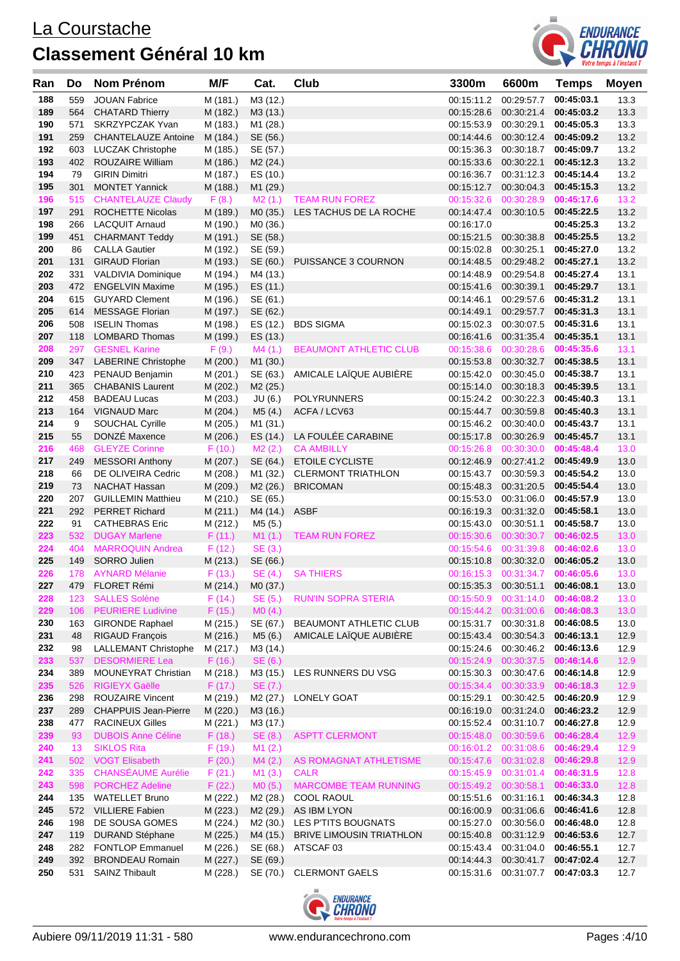

| Ran        | Do         | <b>Nom Prénom</b>                                    | M/F                  | Cat.                 | Club                                                   | 3300m                    | 6600m                               | <b>Temps</b>                        | <b>Moyen</b> |
|------------|------------|------------------------------------------------------|----------------------|----------------------|--------------------------------------------------------|--------------------------|-------------------------------------|-------------------------------------|--------------|
| 188        | 559        | <b>JOUAN Fabrice</b>                                 | M (181.)             | M3 (12.)             |                                                        | 00:15:11.2               | 00:29:57.7                          | 00:45:03.1                          | 13.3         |
| 189        | 564        | <b>CHATARD Thierry</b>                               | M (182.)             | M3 (13.)             |                                                        | 00:15:28.6               | 00:30:21.4                          | 00:45:03.2                          | 13.3         |
| 190        | 571        | SKRZYPCZAK Yvan                                      | M (183.)             | M1 (28.)             |                                                        | 00:15:53.9               | 00:30:29.1                          | 00:45:05.3                          | 13.3         |
| 191        | 259        | <b>CHANTELAUZE Antoine</b>                           | M (184.)             | SE (56.)             |                                                        | 00:14:44.6               | 00:30:12.4 00:45:09.2               |                                     | 13.2         |
| 192        |            | 603 LUCZAK Christophe                                | M (185.)             | SE (57.)             |                                                        | 00:15:36.3               | 00:30:18.7                          | 00:45:09.7                          | 13.2         |
| 193        | 402        | <b>ROUZAIRE William</b>                              | M (186.)             | M2 (24.)             |                                                        | 00:15:33.6               | 00:30:22.1                          | 00:45:12.3                          | 13.2         |
| 194        | 79         | <b>GIRIN Dimitri</b>                                 | M (187.)             | ES (10.)             |                                                        | 00:16:36.7               | 00:31:12.3                          | 00:45:14.4                          | 13.2         |
| 195        | 301        | <b>MONTET Yannick</b>                                | M (188.)             | M1 (29.)             |                                                        | 00:15:12.7               | 00:30:04.3                          | 00:45:15.3                          | 13.2         |
| 196<br>197 | 515<br>291 | <b>CHANTELAUZE Claudy</b><br><b>ROCHETTE Nicolas</b> | F(8.)<br>M (189.)    | M2(1.)<br>M0 (35.)   | <b>TEAM RUN FOREZ</b><br>LES TACHUS DE LA ROCHE        | 00:15:32.6               | 00:30:28.9<br>00:14:47.4 00:30:10.5 | 00:45:17.6<br>00:45:22.5            | 13.2<br>13.2 |
| 198        | 266        | <b>LACQUIT Arnaud</b>                                | M (190.)             | M0 (36.)             |                                                        | 00:16:17.0               |                                     | 00:45:25.3                          | 13.2         |
| 199        | 451        | <b>CHARMANT Teddy</b>                                | M (191.)             | SE (58.)             |                                                        | 00:15:21.5               | 00:30:38.8                          | 00:45:25.5                          | 13.2         |
| 200        | 86         | <b>CALLA Gautier</b>                                 | M (192.)             | SE (59.)             |                                                        | 00:15:02.8               | 00:30:25.1                          | 00:45:27.0                          | 13.2         |
| 201        | 131        | <b>GIRAUD Florian</b>                                | M (193.)             | SE (60.)             | PUISSANCE 3 COURNON                                    | 00:14:48.5               | 00:29:48.2                          | 00:45:27.1                          | 13.2         |
| 202        | 331        | VALDIVIA Dominique                                   | M (194.)             | M4 (13.)             |                                                        | 00:14:48.9               | 00:29:54.8                          | 00:45:27.4                          | 13.1         |
| 203        |            | 472 ENGELVIN Maxime                                  | M (195.)             | ES (11.)             |                                                        | 00:15:41.6               | 00:30:39.1                          | 00:45:29.7                          | 13.1         |
| 204        | 615        | <b>GUYARD Clement</b>                                | M (196.)             | SE (61.)             |                                                        | 00:14:46.1               | 00:29:57.6                          | 00:45:31.2                          | 13.1         |
| 205        | 614        | <b>MESSAGE Florian</b>                               | M (197.)             | SE (62.)             |                                                        | 00:14:49.1               | 00:29:57.7                          | 00:45:31.3                          | 13.1         |
| 206        | 508        | <b>ISELIN Thomas</b>                                 | M (198.)             | ES (12.)             | <b>BDS SIGMA</b>                                       | 00:15:02.3               | 00:30:07.5                          | 00:45:31.6                          | 13.1         |
| 207        | 118        | <b>LOMBARD Thomas</b>                                | M (199.)             | ES (13.)             |                                                        | 00:16:41.6               | 00:31:35.4                          | 00:45:35.1                          | 13.1         |
| 208<br>209 | 297<br>347 | <b>GESNEL Karine</b><br><b>LABERINE Christophe</b>   | F(9.)<br>M (200.)    | M4(1.)               | <b>BEAUMONT ATHLETIC CLUB</b>                          | 00:15:38.6<br>00:15:53.8 | 00:30:28.6                          | 00:45:35.6<br>00:30:32.7 00:45:38.5 | 13.1<br>13.1 |
| 210        | 423        | PENAUD Benjamin                                      | M (201.)             | M1 (30.)<br>SE (63.) | AMICALE LAÏQUE AUBIÈRE                                 | 00:15:42.0               | 00:30:45.0                          | 00:45:38.7                          | 13.1         |
| 211        | 365        | <b>CHABANIS Laurent</b>                              | M (202.)             | M <sub>2</sub> (25.) |                                                        | 00:15:14.0               | 00:30:18.3                          | 00:45:39.5                          | 13.1         |
| 212        | 458        | <b>BADEAU Lucas</b>                                  | M (203.)             | JU (6.)              | <b>POLYRUNNERS</b>                                     | 00:15:24.2               | 00:30:22.3                          | 00:45:40.3                          | 13.1         |
| 213        |            | 164 VIGNAUD Marc                                     | M (204.)             | M5(4.)               | ACFA / LCV63                                           | 00:15:44.7               | 00:30:59.8                          | 00:45:40.3                          | 13.1         |
| 214        | 9          | SOUCHAL Cyrille                                      | M (205.)             | M1 (31.)             |                                                        |                          | 00:15:46.2 00:30:40.0               | 00:45:43.7                          | 13.1         |
| 215        | 55         | DONZÉ Maxence                                        | M (206.)             | ES (14.)             | LA FOULÉE CARABINE                                     | 00:15:17.8               | 00:30:26.9                          | 00:45:45.7                          | 13.1         |
| 216        | 468        | <b>GLEYZE Corinne</b>                                | F(10.)               | M2(2.)               | <b>CA AMBILLY</b>                                      | 00:15:26.8               | 00:30:30.0                          | 00:45:48.4                          | 13.0         |
| 217        | 249        | <b>MESSORI Anthony</b>                               | M (207.)             | SE (64.)             | <b>ETOILE CYCLISTE</b>                                 | 00:12:46.9               | 00:27:41.2                          | 00:45:49.9                          | 13.0         |
| 218        | 66         | DE OLIVEIRA Cedric                                   | M (208.)             | M1 (32.)             | <b>CLERMONT TRIATHLON</b>                              | 00:15:43.7               | 00:30:59.3                          | 00:45:54.2                          | 13.0         |
| 219        | 73         | <b>NACHAT Hassan</b>                                 | M (209.)             | M <sub>2</sub> (26.) | <b>BRICOMAN</b>                                        | 00:15:48.3               | 00:31:20.5                          | 00:45:54.4                          | 13.0         |
| 220<br>221 | 207        | <b>GUILLEMIN Matthieu</b>                            | M (210.)             | SE (65.)             |                                                        | 00:15:53.0               | 00:31:06.0                          | 00:45:57.9                          | 13.0         |
| 222        | 292<br>91  | <b>PERRET Richard</b><br><b>CATHEBRAS Eric</b>       | M(211.)              | M4 (14.)             | <b>ASBF</b>                                            | 00:16:19.3               | 00:31:32.0<br>00:30:51.1            | 00:45:58.1<br>00:45:58.7            | 13.0<br>13.0 |
| 223        | 532        | <b>DUGAY Marlene</b>                                 | M (212.)<br>F(11.)   | M5 (5.)<br>M1(1.)    | <b>TEAM RUN FOREZ</b>                                  | 00:15:43.0<br>00:15:30.6 | 00:30:30.7                          | 00:46:02.5                          | 13.0         |
| 224        | 404        | <b>MARROQUIN Andrea</b>                              | F(12.)               | SE (3.)              |                                                        | 00:15:54.6               | 00:31:39.8                          | 00:46:02.6                          | 13.0         |
| 225        | 149        | <b>SORRO Julien</b>                                  | M (213.)             | SE (66.)             |                                                        |                          | 00:15:10.8 00:30:32.0               | 00:46:05.2                          | 13.0         |
| 226        | 178        | <b>AYNARD Mélanie</b>                                | F(13.)               | SE (4.)              | <b>SA THIERS</b>                                       | 00:16:15.3               | 00:31:34.7                          | 00:46:05.6                          | 13.0         |
| 227        | 479        | FLORET Rémi                                          | M (214.)             | M0 (37.)             |                                                        |                          | 00:15:35.3  00:30:51.1  00:46:08.1  |                                     | 13.0         |
| 228        | 123        | <b>SALLES Solène</b>                                 | F(14.)               | SE (5.)              | <b>RUN'IN SOPRA STERIA</b>                             |                          | 00:15:50.9  00:31:14.0  00:46:08.2  |                                     | 13.0         |
| 229        | 106        | <b>PEURIERE Ludivine</b>                             | F(15.)               | MO(4.)               |                                                        |                          | 00:15:44.2  00:31:00.6              | 00:46:08.3                          | 13.0         |
| 230        | 163        | <b>GIRONDE Raphael</b>                               | M (215.)             | SE (67.)             | BEAUMONT ATHLETIC CLUB                                 |                          | 00:15:31.7 00:30:31.8               | 00:46:08.5                          | 13.0         |
| 231        | 48         | RIGAUD François                                      | M (216.)             | M5 (6.)              | AMICALE LAÏQUE AUBIÈRE                                 |                          | 00:15:43.4  00:30:54.3  00:46:13.1  |                                     | 12.9         |
| 232        | 98         | LALLEMANT Christophe                                 | M (217.)             | M3 (14.)             |                                                        | 00:15:24.6               | 00:30:46.2                          | 00:46:13.6<br>00:46:14.6            | 12.9         |
| 233<br>234 | 537<br>389 | <b>DESORMIERE Lea</b><br>MOUNEYRAT Christian         | F(16.)<br>M (218.)   | SE (6.)<br>M3 (15.)  | LES RUNNERS DU VSG                                     | 00:15:30.3               | 00:15:24.9 00:30:37.5<br>00:30:47.6 | 00:46:14.8                          | 12.9<br>12.9 |
| 235        | 526        | <b>RIGIEYX Gaëlle</b>                                | F(17.)               | SE (7.)              |                                                        |                          | 00:15:34.4 00:30:33.9               | 00:46:18.3                          | 12.9         |
| 236        | 298        | <b>ROUZAIRE Vincent</b>                              | M (219.)             | M2 (27.)             | LONELY GOAT                                            | 00:15:29.1               | 00:30:42.5                          | 00:46:20.9                          | 12.9         |
| 237        | 289        | <b>CHAPPUIS Jean-Pierre</b>                          | M (220.)             | M3 (16.)             |                                                        |                          | 00:16:19.0 00:31:24.0               | 00:46:23.2                          | 12.9         |
| 238        | 477        | <b>RACINEUX Gilles</b>                               | M (221.)             | M3 (17.)             |                                                        | 00:15:52.4               | 00:31:10.7                          | 00:46:27.8                          | 12.9         |
| 239        | 93         | <b>DUBOIS Anne Céline</b>                            | F(18.)               | SE (8.)              | <b>ASPTT CLERMONT</b>                                  |                          | 00:15:48.0 00:30:59.6               | 00:46:28.4                          | 12.9         |
| 240        | 13         | <b>SIKLOS Rita</b>                                   | F(19.)               | M1(2.)               |                                                        |                          | 00:16:01.2 00:31:08.6               | 00:46:29.4                          | 12.9         |
| 241        |            | 502 VOGT Elisabeth                                   | F(20.)               | M4(2.)               | AS ROMAGNAT ATHLETISME                                 |                          | 00:15:47.6 00:31:02.8               | 00:46:29.8                          | 12.9         |
| 242        | 335        | <b>CHANSÉAUME Aurélie</b>                            | F(21.)               | M1(3.)               | <b>CALR</b>                                            | 00:15:45.9               | 00:31:01.4                          | 00:46:31.5                          | 12.8         |
| 243        | 598        | <b>PORCHEZ Adeline</b>                               | F(22.)               | MO(5.)               | MARCOMBE TEAM RUNNING                                  |                          | 00:15:49.2  00:30:58.1              | 00:46:33.0                          | 12.8         |
| 244        | 135        | <b>WATELLET Bruno</b>                                | M (222.)             | M <sub>2</sub> (28.) | COOL RAOUL                                             | 00:15:51.6               | 00:31:16.1                          | 00:46:34.3                          | 12.8         |
| 245<br>246 |            | 572 VILLIERE Fabien                                  | M (223.)             | M <sub>2</sub> (29.) | AS IBM LYON                                            | 00:16:00.9               | 00:31:06.6                          | 00:46:41.6                          | 12.8         |
| 247        | 198<br>119 | DE SOUSA GOMES<br><b>DURAND Stéphane</b>             | M (224.)<br>M (225.) | M2 (30.)<br>M4 (15.) | LES P'TITS BOUGNATS<br><b>BRIVE LIMOUSIN TRIATHLON</b> | 00:15:27.0<br>00:15:40.8 | 00:30:56.0<br>00:31:12.9            | 00:46:48.0<br>00:46:53.6            | 12.8<br>12.7 |
| 248        | 282        | <b>FONTLOP Emmanuel</b>                              | M (226.)             | SE (68.)             | ATSCAF 03                                              | 00:15:43.4               | 00:31:04.0                          | 00:46:55.1                          | 12.7         |
| 249        | 392        | <b>BRONDEAU Romain</b>                               | M (227.)             | SE (69.)             |                                                        | 00:14:44.3               | 00:30:41.7                          | 00:47:02.4                          | 12.7         |
| 250        | 531        | <b>SAINZ Thibault</b>                                | M (228.)             | SE (70.)             | <b>CLERMONT GAELS</b>                                  |                          | 00:15:31.6 00:31:07.7               | 00:47:03.3                          | 12.7         |
|            |            |                                                      |                      |                      |                                                        |                          |                                     |                                     |              |

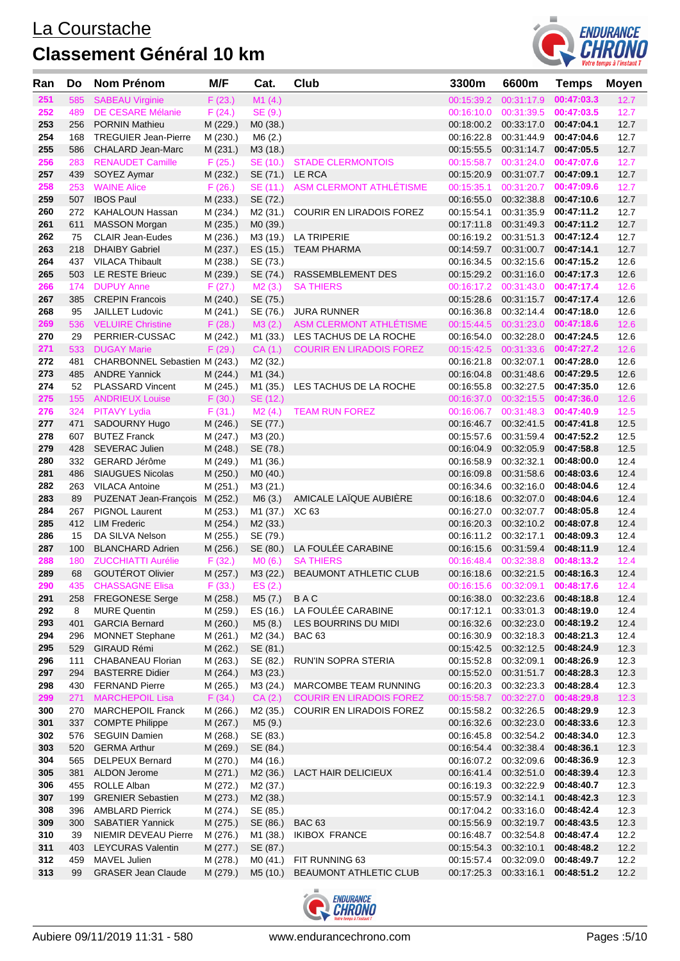

| Ran        | Do         | <b>Nom Prénom</b>                                | M/F                  | Cat.                 | Club                                     | 3300m                                          | 6600m                               | Temps                    | <b>Moyen</b> |
|------------|------------|--------------------------------------------------|----------------------|----------------------|------------------------------------------|------------------------------------------------|-------------------------------------|--------------------------|--------------|
| 251        | 585        | <b>SABEAU Virginie</b>                           | F(23.)               | M1(4.)               |                                          | 00:15:39.2                                     | 00:31:17.9                          | 00:47:03.3               | 12.7         |
| 252        | 489        | <b>DE CESARE Mélanie</b>                         | F(24.)               | SE (9.)              |                                          | 00:16:10.0 00:31:39.5                          |                                     | 00:47:03.5               | 12.7         |
| 253        | 256        | <b>PORNIN Mathieu</b>                            | M (229.)             | MO (38.)             |                                          |                                                | 00:18:00.2 00:33:17.0               | 00:47:04.1               | 12.7         |
| 254        | 168        | <b>TREGUIER Jean-Pierre</b>                      | M (230.)             | M6(2.)               |                                          | 00:16:22.8 00:31:44.9                          |                                     | 00:47:04.6               | 12.7         |
| 255        | 586        | CHALARD Jean-Marc                                | M (231.)             | M3 (18.)             |                                          | 00:15:55.5                                     | 00:31:14.7                          | 00:47:05.5               | 12.7         |
| 256        | 283        | <b>RENAUDET Camille</b>                          | F(25.)               | SE (10.)             | <b>STADE CLERMONTOIS</b>                 | 00:15:58.7  00:31:24.0                         |                                     | 00:47:07.6               | 12.7         |
| 257        | 439        | SOYEZ Aymar                                      | M (232.)             | SE (71.)             | LE RCA                                   | 00:15:20.9                                     | 00:31:07.7                          | 00:47:09.1               | 12.7         |
| 258        | 253        | <b>WAINE Alice</b>                               | F(26.)               | SE (11.)             | ASM CLERMONT ATHLETISME                  | 00:15:35.1                                     | 00:31:20.7                          | 00:47:09.6               | 12.7         |
| 259        | 507        | <b>IBOS Paul</b>                                 | M (233.)             | SE (72.)             |                                          | 00:16:55.0                                     | 00:32:38.8                          | 00:47:10.6               | 12.7         |
| 260        | 272        | KAHALOUN Hassan                                  | M (234.)             | M2 (31.)             | <b>COURIR EN LIRADOIS FOREZ</b>          | 00:15:54.1                                     | 00:31:35.9                          | 00:47:11.2               | 12.7         |
| 261<br>262 | 611        | <b>MASSON Morgan</b>                             | M (235.)             | M0 (39.)             |                                          | 00:17:11.8 00:31:49.3                          |                                     | 00:47:11.2               | 12.7         |
| 263        | 75<br>218  | <b>CLAIR Jean-Eudes</b><br><b>DHAIBY Gabriel</b> | M (236.)<br>M (237.) | M3 (19.)<br>ES (15.) | <b>LA TRIPERIE</b><br><b>TEAM PHARMA</b> | 00:14:59.7                                     | 00:16:19.2 00:31:51.3<br>00:31:00.7 | 00:47:12.4<br>00:47:14.1 | 12.7<br>12.7 |
| 264        |            | 437 VILACA Thibault                              | M (238.)             | SE (73.)             |                                          | 00:16:34.5 00:32:15.6                          |                                     | 00:47:15.2               | 12.6         |
| 265        | 503        | LE RESTE Brieuc                                  | M (239.)             | SE (74.)             | RASSEMBLEMENT DES                        | 00:15:29.2 00:31:16.0                          |                                     | 00:47:17.3               | 12.6         |
| 266        | 174        | <b>DUPUY Anne</b>                                | F(27.)               | M2(3.)               | <b>SA THIERS</b>                         | 00:16:17.2  00:31:43.0                         |                                     | 00:47:17.4               | 12.6         |
| 267        | 385        | <b>CREPIN Francois</b>                           | M (240.)             | SE (75.)             |                                          | 00:15:28.6                                     | 00:31:15.7                          | 00:47:17.4               | 12.6         |
| 268        | 95         | JAILLET Ludovic                                  | M (241.)             | SE (76.)             | <b>JURA RUNNER</b>                       | 00:16:36.8 00:32:14.4                          |                                     | 00:47:18.0               | 12.6         |
| 269        | 536        | <b>VELUIRE Christine</b>                         | F(28.)               | M3(2.)               | ASM CLERMONT ATHLÉTISME                  | 00:15:44.5  00:31:23.0                         |                                     | 00:47:18.6               | 12.6         |
| 270        | 29         | PERRIER-CUSSAC                                   | M (242.)             | M1 (33.)             | LES TACHUS DE LA ROCHE                   | 00:16:54.0                                     | 00:32:28.0                          | 00:47:24.5               | 12.6         |
| 271        | 533        | <b>DUGAY Marie</b>                               | F(29.)               | CA(1.)               | <b>COURIR EN LIRADOIS FOREZ</b>          | 00:15:42.5 00:31:33.6                          |                                     | 00:47:27.2               | 12.6         |
| 272        | 481        | CHARBONNEL Sebastien M (243.)                    |                      | M <sub>2</sub> (32.) |                                          | 00:16:21.8 00:32:07.1                          |                                     | 00:47:28.0               | 12.6         |
| 273        | 485        | <b>ANDRE Yannick</b>                             | M (244.)             | M1 (34.)             |                                          | 00:16:04.8 00:31:48.6                          |                                     | 00:47:29.5               | 12.6         |
| 274        | 52         | <b>PLASSARD Vincent</b>                          | M (245.)             | M1 (35.)             | LES TACHUS DE LA ROCHE                   | 00:16:55.8 00:32:27.5                          |                                     | 00:47:35.0               | 12.6         |
| 275        | 155        | <b>ANDRIEUX Louise</b>                           | F(30.)               | SE (12.)             |                                          |                                                | 00:16:37.0 00:32:15.5               | 00:47:36.0               | 12.6         |
| 276        | 324        | <b>PITAVY Lydia</b>                              | F(31.)               | M2(4.)               | <b>TEAM RUN FOREZ</b>                    | 00:16:06.7  00:31:48.3                         |                                     | 00:47:40.9               | 12.5         |
| 277        | 471        | SADOURNY Hugo                                    | M (246.)             | SE (77.)             |                                          | 00:16:46.7                                     | 00:32:41.5                          | 00:47:41.8               | 12.5         |
| 278<br>279 |            | 607 BUTEZ Franck                                 | M (247.)             | M3 (20.)             |                                          | 00:15:57.6 00:31:59.4                          |                                     | 00:47:52.2<br>00:47:58.8 | 12.5         |
| 280        | 428<br>332 | <b>SEVERAC Julien</b><br>GERARD Jérôme           | M (248.)<br>M (249.) | SE (78.)<br>M1 (36.) |                                          | 00:16:04.9 00:32:05.9<br>00:16:58.9            | 00:32:32.1                          | 00:48:00.0               | 12.5<br>12.4 |
| 281        | 486        | <b>SIAUGUES Nicolas</b>                          | M (250.)             | MO(40.)              |                                          | 00:16:09.8                                     | 00:31:58.6                          | 00:48:03.6               | 12.4         |
| 282        | 263        | <b>VILACA Antoine</b>                            | M (251.)             | M3 (21.)             |                                          | 00:16:34.6 00:32:16.0                          |                                     | 00:48:04.6               | 12.4         |
| 283        | 89         | PUZENAT Jean-François                            | M (252.)             | M6 (3.)              | AMICALE LAÏQUE AUBIÈRE                   | 00:16:18.6 00:32:07.0                          |                                     | 00:48:04.6               | 12.4         |
| 284        | 267        | PIGNOL Laurent                                   | M (253.)             | M1 (37.)             | XC 63                                    |                                                | 00:16:27.0 00:32:07.7               | 00:48:05.8               | 12.4         |
| 285        | 412        | <b>LIM Frederic</b>                              | M (254.)             | M2 (33.)             |                                          | 00:16:20.3                                     | 00:32:10.2                          | 00:48:07.8               | 12.4         |
| 286        | 15         | DA SILVA Nelson                                  | M (255.)             | SE (79.)             |                                          | 00:16:11.2 00:32:17.1                          |                                     | 00:48:09.3               | 12.4         |
| 287        | 100        | <b>BLANCHARD Adrien</b>                          | M (256.)             | SE (80.)             | LA FOULÉE CARABINE                       | 00:16:15.6 00:31:59.4                          |                                     | 00:48:11.9               | 12.4         |
| 288        | 180        | <b>ZUCCHIATTI Aurélie</b>                        | F(32.)               | MO(6.)               | <b>SA THIERS</b>                         | 00:16:48.4  00:32:38.8                         |                                     | 00:48:13.2               | 12.4         |
| 289        | 68         | GOUTÉROT Olivier                                 | M (257.)             | M3 (22.)             | BEAUMONT ATHLETIC CLUB                   |                                                | 00:16:18.6 00:32:21.5 00:48:16.3    |                          | 12.4         |
| 290        |            | 435 CHASSAGNE Elisa                              | $F(33.)$ ES (2.)     |                      |                                          |                                                | 00:16:15.6 00:32:09.1 00:48:17.6    |                          | 12.4         |
| 291        | 258        | <b>FREGONESE Serge</b>                           | M (258.)             | M5 (7.)              | BAC                                      |                                                | 00:16:38.0 00:32:23.6 00:48:18.8    |                          | 12.4         |
| 292        | 8          | <b>MURE Quentin</b>                              | M (259.)             | ES (16.)             | LA FOULÉE CARABINE                       |                                                | 00:17:12.1 00:33:01.3               | 00:48:19.0               | 12.4         |
| 293        | 401        | <b>GARCIA Bernard</b>                            | M (260.)             | M5 (8.)              | LES BOURRINS DU MIDI                     | 00:16:32.6 00:32:23.0                          |                                     | 00:48:19.2               | 12.4         |
| 294<br>295 | 296        | <b>MONNET Stephane</b><br>529 GIRAUD Rémi        | M (261.)<br>M (262.) | M2 (34.)<br>SE (81.) | <b>BAC 63</b>                            | 00:16:30.9 00:32:18.3<br>00:15:42.5 00:32:12.5 |                                     | 00:48:21.3<br>00:48:24.9 | 12.4<br>12.3 |
| 296        | 111        | CHABANEAU Florian                                | M (263.)             | SE (82.)             | RUN'IN SOPRA STERIA                      | 00:15:52.8 00:32:09.1                          |                                     | 00:48:26.9               | 12.3         |
| 297        | 294        | <b>BASTERRE Didier</b>                           | M (264.)             | M3 (23.)             |                                          |                                                | 00:15:52.0 00:31:51.7               | 00:48:28.3               | 12.3         |
| 298        |            | 430 FERNAND Pierre                               | M (265.)             | M3 (24.)             | MARCOMBE TEAM RUNNING                    | 00:16:20.3 00:32:23.3                          |                                     | 00:48:28.4               | 12.3         |
| 299        | 271        | <b>MARCHEPOIL Lisa</b>                           | F(34.)               | CA(2.)               | <b>COURIR EN LIRADOIS FOREZ</b>          | 00:15:58.7 00:32:27.0                          |                                     | 00:48:29.8               | 12.3         |
| 300        | 270        | <b>MARCHEPOIL Franck</b>                         | M (266.)             | M2 (35.)             | <b>COURIR EN LIRADOIS FOREZ</b>          | 00:15:58.2 00:32:26.5                          |                                     | 00:48:29.9               | 12.3         |
| 301        |            | 337 COMPTE Philippe                              | M (267.)             | M5 (9.)              |                                          | 00:16:32.6 00:32:23.0                          |                                     | 00:48:33.6               | 12.3         |
| 302        | 576        | <b>SEGUIN Damien</b>                             | M (268.)             | SE (83.)             |                                          | 00:16:45.8 00:32:54.2                          |                                     | 00:48:34.0               | 12.3         |
| 303        | 520        | <b>GERMA Arthur</b>                              | M (269.)             | SE (84.)             |                                          |                                                | 00:16:54.4 00:32:38.4               | 00:48:36.1               | 12.3         |
| 304        | 565        | DELPEUX Bernard                                  | M (270.)             | M4 (16.)             |                                          | 00:16:07.2 00:32:09.6                          |                                     | 00:48:36.9               | 12.3         |
| 305        |            | 381 ALDON Jerome                                 | M (271.)             | M <sub>2</sub> (36.) | LACT HAIR DELICIEUX                      | 00:16:41.4 00:32:51.0                          |                                     | 00:48:39.4               | 12.3         |
| 306        |            | 455 ROLLE Alban                                  | M (272.)             | M <sub>2</sub> (37.) |                                          | 00:16:19.3 00:32:22.9                          |                                     | 00:48:40.7               | 12.3         |
| 307        | 199        | <b>GRENIER Sebastien</b>                         | M (273.)             | M <sub>2</sub> (38.) |                                          | 00:15:57.9 00:32:14.1                          |                                     | 00:48:42.3               | 12.3         |
| 308        | 396        | <b>AMBLARD Pierrick</b>                          | M (274.)             | SE (85.)             |                                          | 00:17:04.2 00:33:16.0                          |                                     | 00:48:42.4               | 12.3         |
| 309        | 300        | <b>SABATIER Yannick</b>                          | M (275.)             | SE (86.)             | <b>BAC 63</b>                            |                                                | 00:15:56.9 00:32:19.7               | 00:48:43.5               | 12.3         |
| 310        | 39         | NIEMIR DEVEAU Pierre                             | M (276.)             | M1 (38.)             | <b>IKIBOX FRANCE</b>                     | 00:16:48.7 00:32:54.8                          |                                     | 00:48:47.4               | 12.2         |
| 311<br>312 | 403<br>459 | <b>LEYCURAS Valentin</b><br>MAVEL Julien         | M (277.)<br>M (278.) | SE (87.)<br>MO (41.) | FIT RUNNING 63                           | 00:15:54.3 00:32:10.1<br>00:15:57.4 00:32:09.0 |                                     | 00:48:48.2<br>00:48:49.7 | 12.2<br>12.2 |
| 313        | 99         | <b>GRASER Jean Claude</b>                        | M (279.)             | M5 (10.)             | BEAUMONT ATHLETIC CLUB                   | 00:17:25.3 00:33:16.1                          |                                     | 00:48:51.2               | 12.2         |
|            |            |                                                  |                      |                      |                                          |                                                |                                     |                          |              |

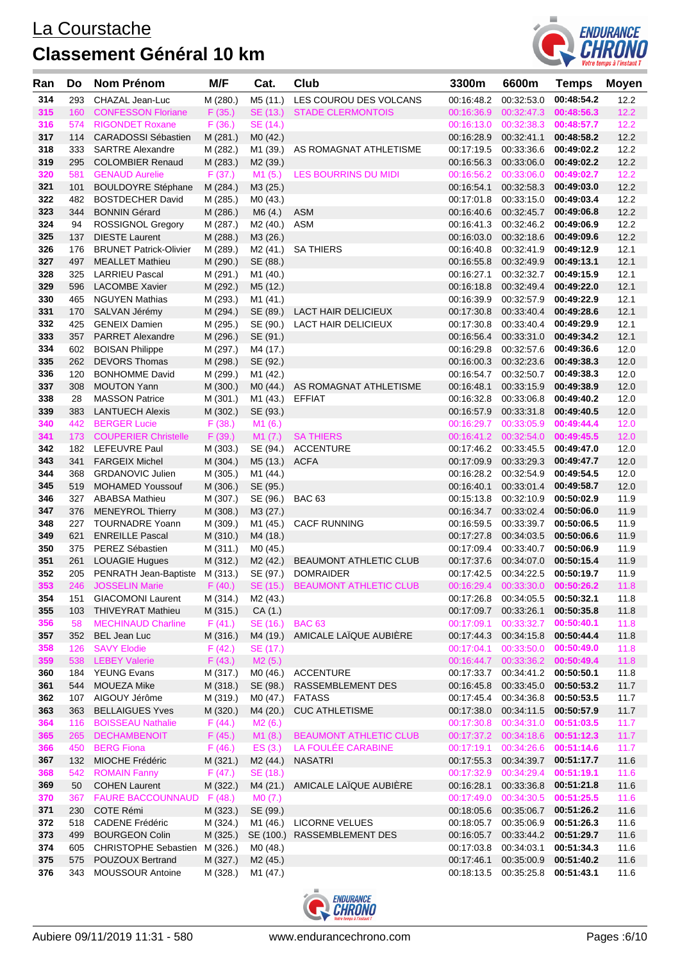

| Ran        | Do         | Nom Prénom                                            | M/F                  | Cat.                 | Club                                                       | 3300m      | 6600m                                                     | <b>Temps</b>             | <b>Moyen</b> |
|------------|------------|-------------------------------------------------------|----------------------|----------------------|------------------------------------------------------------|------------|-----------------------------------------------------------|--------------------------|--------------|
| 314        | 293        | CHAZAL Jean-Luc                                       | M (280.)             | M5 (11.)             | LES COUROU DES VOLCANS                                     | 00:16:48.2 | 00:32:53.0                                                | 00:48:54.2               | 12.2         |
| 315        | 160        | <b>CONFESSON Floriane</b>                             | F(35.)               | SE (13.)             | <b>STADE CLERMONTOIS</b>                                   |            | 00:16:36.9 00:32:47.3                                     | 00:48:56.3               | 12.2         |
| 316        | 574        | <b>RIGONDET Roxane</b>                                | F(36.)               | SE (14.)             |                                                            |            | 00:16:13.0 00:32:38.3                                     | 00:48:57.7               | 12.2         |
| 317        |            | 114 CARADOSSI Sébastien                               | M (281.)             | MO(42.)              |                                                            |            | 00:16:28.9 00:32:41.1                                     | 00:48:58.2               | 12.2         |
| 318        | 333        | <b>SARTRE Alexandre</b>                               | M (282.)             | M1 (39.)             | AS ROMAGNAT ATHLETISME                                     |            | 00:17:19.5 00:33:36.6                                     | 00:49:02.2               | 12.2         |
| 319        | 295        | <b>COLOMBIER Renaud</b>                               | M (283.)             | M2 (39.)             |                                                            |            | 00:16:56.3 00:33:06.0                                     | 00:49:02.2               | 12.2         |
| 320        | 581        | <b>GENAUD Aurelie</b>                                 | F(37.)               | M1(5.)               | LES BOURRINS DU MIDI                                       | 00:16:56.2 | 00:33:06.0                                                | 00:49:02.7               | 12.2         |
| 321<br>322 | 101<br>482 | <b>BOULDOYRE Stéphane</b><br><b>BOSTDECHER David</b>  | M (284.)             | M3 (25.)             |                                                            |            | 00:16:54.1 00:32:58.3<br>00:17:01.8 00:33:15.0            | 00:49:03.0<br>00:49:03.4 | 12.2<br>12.2 |
| 323        | 344        | <b>BONNIN Gérard</b>                                  | M (285.)<br>M (286.) | M0 (43.)<br>M6(4.)   | <b>ASM</b>                                                 |            | 00:16:40.6 00:32:45.7                                     | 00:49:06.8               | 12.2         |
| 324        | 94         | <b>ROSSIGNOL Gregory</b>                              | M (287.)             | M2 (40.)             | ASM                                                        |            | 00:16:41.3 00:32:46.2                                     | 00:49:06.9               | 12.2         |
| 325        | 137        | <b>DIESTE Laurent</b>                                 | M (288.)             | M3 (26.)             |                                                            |            | 00:16:03.0 00:32:18.6                                     | 00:49:09.6               | 12.2         |
| 326        | 176        | <b>BRUNET Patrick-Olivier</b>                         | M (289.)             | M2 (41.)             | <b>SA THIERS</b>                                           |            | 00:16:40.8 00:32:41.9                                     | 00:49:12.9               | 12.1         |
| 327        | 497        | <b>MEALLET Mathieu</b>                                | M (290.)             | SE (88.)             |                                                            |            | 00:16:55.8 00:32:49.9                                     | 00:49:13.1               | 12.1         |
| 328        | 325        | <b>LARRIEU Pascal</b>                                 | M (291.)             | M1 (40.)             |                                                            | 00:16:27.1 | 00:32:32.7                                                | 00:49:15.9               | 12.1         |
| 329        |            | 596 LACOMBE Xavier                                    | M (292.)             | M5 (12.)             |                                                            |            | 00:16:18.8 00:32:49.4                                     | 00:49:22.0               | 12.1         |
| 330        | 465        | <b>NGUYEN Mathias</b>                                 | M (293.)             | M1 (41.)             |                                                            |            | 00:16:39.9 00:32:57.9                                     | 00:49:22.9               | 12.1         |
| 331        | 170        | SALVAN Jérémy                                         | M (294.)             | SE (89.)             | LACT HAIR DELICIEUX                                        |            | 00:17:30.8 00:33:40.4                                     | 00:49:28.6               | 12.1         |
| 332        | 425        | <b>GENEIX Damien</b>                                  | M (295.)             | SE (90.)             | <b>LACT HAIR DELICIEUX</b>                                 |            | 00:17:30.8 00:33:40.4                                     | 00:49:29.9               | 12.1         |
| 333        | 357        | <b>PARRET Alexandre</b>                               | M (296.)             | SE (91.)             |                                                            |            | 00:16:56.4 00:33:31.0                                     | 00:49:34.2               | 12.1         |
| 334        | 602        | <b>BOISAN Philippe</b>                                | M (297.)             | M4 (17.)             |                                                            | 00:16:29.8 | 00:32:57.6                                                | 00:49:36.6               | 12.0         |
| 335        | 262        | <b>DEVORS Thomas</b><br><b>BONHOMME David</b>         | M (298.)             | SE (92.)             |                                                            |            | 00:16:00.3 00:32:23.6                                     | 00:49:38.3               | 12.0         |
| 336<br>337 | 120<br>308 | <b>MOUTON Yann</b>                                    | M (299.)<br>M (300.) | M1 (42.)<br>M0 (44.) | AS ROMAGNAT ATHLETISME                                     |            | 00:16:54.7 00:32:50.7<br>00:16:48.1  00:33:15.9           | 00:49:38.3<br>00:49:38.9 | 12.0<br>12.0 |
| 338        | 28         | <b>MASSON Patrice</b>                                 | M (301.)             | M1 (43.)             | EFFIAT                                                     |            | 00:16:32.8 00:33:06.8                                     | 00:49:40.2               | 12.0         |
| 339        | 383        | <b>LANTUECH Alexis</b>                                | M (302.)             | SE (93.)             |                                                            |            | 00:16:57.9 00:33:31.8                                     | 00:49:40.5               | 12.0         |
| 340        | 442        | <b>BERGER Lucie</b>                                   | F(38.)               | M1(6.)               |                                                            |            | 00:16:29.7 00:33:05.9                                     | 00:49:44.4               | 12.0         |
| 341        |            | 173 COUPERIER Christelle                              | F (39.)              | M1 (7.)              | <b>SA THIERS</b>                                           |            | 00:16:41.2 00:32:54.0                                     | 00:49:45.5               | 12.0         |
| 342        | 182        | LEFEUVRE Paul                                         | M (303.)             | SE (94.)             | <b>ACCENTURE</b>                                           |            | 00:17:46.2 00:33:45.5                                     | 00:49:47.0               | 12.0         |
| 343        | 341        | <b>FARGEIX Michel</b>                                 | M (304.)             | M5 (13.)             | <b>ACFA</b>                                                |            | 00:17:09.9 00:33:29.3                                     | 00:49:47.7               | 12.0         |
| 344        | 368        | <b>GRDANOVIC Julien</b>                               | M (305.)             | M1 (44.)             |                                                            |            | 00:16:28.2 00:32:54.9                                     | 00:49:54.5               | 12.0         |
| 345        | 519        | <b>MOHAMED Youssouf</b>                               | M (306.)             | SE (95.)             |                                                            |            | 00:16:40.1 00:33:01.4                                     | 00:49:58.7               | 12.0         |
| 346        |            | 327 ABABSA Mathieu                                    | M (307.)             | SE (96.)             | <b>BAC 63</b>                                              |            | 00:15:13.8 00:32:10.9                                     | 00:50:02.9               | 11.9         |
| 347        | 376        | <b>MENEYROL Thierry</b>                               | M (308.)             | M3 (27.)             |                                                            |            | 00:16:34.7 00:33:02.4                                     | 00:50:06.0               | 11.9         |
| 348<br>349 | 227<br>621 | <b>TOURNADRE Yoann</b><br><b>ENREILLE Pascal</b>      | M (309.)<br>M (310.) | M1 (45.)             | <b>CACF RUNNING</b>                                        |            | 00:16:59.5 00:33:39.7<br>00:17:27.8 00:34:03.5            | 00:50:06.5<br>00:50:06.6 | 11.9<br>11.9 |
| 350        |            | 375 PEREZ Sébastien                                   | M (311.)             | M4 (18.)<br>M0 (45.) |                                                            |            | 00:17:09.4 00:33:40.7                                     | 00:50:06.9               | 11.9         |
| 351        | 261        | <b>LOUAGIE Hugues</b>                                 | M (312.)             | M2 (42.)             | BEAUMONT ATHLETIC CLUB                                     |            | 00:17:37.6 00:34:07.0                                     | 00:50:15.4               | 11.9         |
| 352        |            | 205 PENRATH Jean-Baptiste M (313.) SE (97.)           |                      |                      | <b>DOMRAIDER</b>                                           |            | 00:17:42.5 00:34:22.5 00:50:19.7                          |                          | 11.9         |
| 353        |            |                                                       |                      |                      | 246 JOSSELIN Marie F (40.) SE (15.) BEAUMONT ATHLETIC CLUB |            | 00:16:29.4   00:33:30.0   00:50:26.2                      |                          | 11.8         |
| 354        |            | 151 GIACOMONI Laurent                                 | M (314.)             | M2 (43.)             |                                                            |            | 00:17:26.8 00:34:05.5 00:50:32.1                          |                          | 11.8         |
| 355        |            | 103 THIVEYRAT Mathieu                                 | M (315.)             | CA(1.)               |                                                            |            | 00:17:09.7 00:33:26.1                                     | 00:50:35.8               | 11.8         |
| 356        | 58         | <b>MECHINAUD Charline</b>                             | F(41.)               | SE (16.)             | <b>BAC 63</b>                                              |            | 00:17:09.1  00:33:32.7  00:50:40.1                        |                          | 11.8         |
| 357        |            | 352 BEL Jean Luc                                      | M (316.)             | M4 (19.)             | AMICALE LAÏQUE AUBIÈRE                                     |            | 00:17:44.3 00:34:15.8 00:50:44.4                          |                          | 11.8         |
| 358        | 126        | <b>SAVY Elodie</b>                                    | F(42.)               | SE (17.)             |                                                            |            | 00:17:04.1  00:33:50.0  00:50:49.0                        |                          | 11.8         |
| 359        |            | 538 LEBEY Valerie                                     | F(43.)               | M2(5.)               |                                                            |            | 00:16:44.7 00:33:36.2 00:50:49.4                          |                          | 11.8         |
| 360        |            | 184 YEUNG Evans                                       | M (317.)             | M0 (46.)             | ACCENTURE                                                  |            | 00:17:33.7 00:34:41.2 00:50:50.1                          |                          | 11.8         |
| 361<br>362 | 544        | MOUEZA Mike<br>107 AIGOUY Jérôme                      | M (318.)             | SE (98.)             | RASSEMBLEMENT DES<br><b>FATASS</b>                         |            | 00:16:45.8 00:33:45.0                                     | 00:50:53.2<br>00:50:53.5 | 11.7<br>11.7 |
| 363        |            | 363 BELLAIGUES Yves                                   | M (319.)<br>M (320.) | M0 (47.)<br>M4 (20.) | <b>CUC ATHLETISME</b>                                      |            | 00:17:45.4 00:34:36.8<br>00:17:38.0 00:34:11.5 00:50:57.9 |                          | 11.7         |
| 364        | 116        | <b>BOISSEAU Nathalie</b>                              | F(44.)               | M2 (6.)              |                                                            |            | 00:17:30.8 00:34:31.0                                     | 00:51:03.5               | 11.7         |
| 365        | 265        | <b>DECHAMBENOIT</b>                                   | F(45.)               | M1 (8.)              | <b>BEAUMONT ATHLETIC CLUB</b>                              |            | 00:17:37.2 00:34:18.6                                     | 00:51:12.3               | 11.7         |
| 366        |            | 450 BERG Fiona                                        | F(46.)               | ES (3.)              | LA FOULÉE CARABINE                                         |            | 00:17:19.1  00:34:26.6  00:51:14.6                        |                          | 11.7         |
| 367        | 132        | MIOCHE Frédéric                                       | M (321.)             | M <sub>2</sub> (44.) | <b>NASATRI</b>                                             |            | 00:17:55.3 00:34:39.7                                     | 00:51:17.7               | 11.6         |
| 368        |            | 542 ROMAIN Fanny                                      | F(47.)               | SE (18.)             |                                                            |            | 00:17:32.9 00:34:29.4                                     | 00:51:19.1               | 11.6         |
| 369        | 50         | <b>COHEN Laurent</b>                                  | M (322.)             | M4 (21.)             | AMICALE LAÏQUE AUBIÈRE                                     |            | 00:16:28.1 00:33:36.8                                     | 00:51:21.8               | 11.6         |
| 370        | 367        | FAURE BACCOUNNAUD F (48.)                             |                      | MO(7.)               |                                                            |            | 00:17:49.0 00:34:30.5                                     | 00:51:25.5               | 11.6         |
| 371        |            | 230 COTE Rémi                                         | M (323.)             | SE (99.)             |                                                            |            | 00:18:05.6 00:35:06.7                                     | 00:51:26.2               | 11.6         |
| 372        | 518        | <b>CADENE Frédéric</b>                                | M (324.)             | M1 (46.)             | <b>LICORNE VELUES</b>                                      |            | 00:18:05.7 00:35:06.9                                     | 00:51:26.3               | 11.6         |
| 373        | 499        | <b>BOURGEON Colin</b>                                 | M (325.)             | SE (100.)            | RASSEMBLEMENT DES                                          |            | 00:16:05.7 00:33:44.2 00:51:29.7                          |                          | 11.6         |
| 374<br>375 |            | 605 CHRISTOPHE Sebastien M (326.)<br>POUZOUX Bertrand |                      | M0 (48.)             |                                                            |            | 00:17:03.8 00:34:03.1<br>00:17:46.1 00:35:00.9            | 00:51:34.3               | 11.6<br>11.6 |
| 376        | 575<br>343 | <b>MOUSSOUR Antoine</b>                               | M (327.)<br>M (328.) | M2 (45.)<br>M1 (47.) |                                                            |            | 00:18:13.5 00:35:25.8                                     | 00:51:40.2<br>00:51:43.1 | 11.6         |
|            |            |                                                       |                      |                      |                                                            |            |                                                           |                          |              |

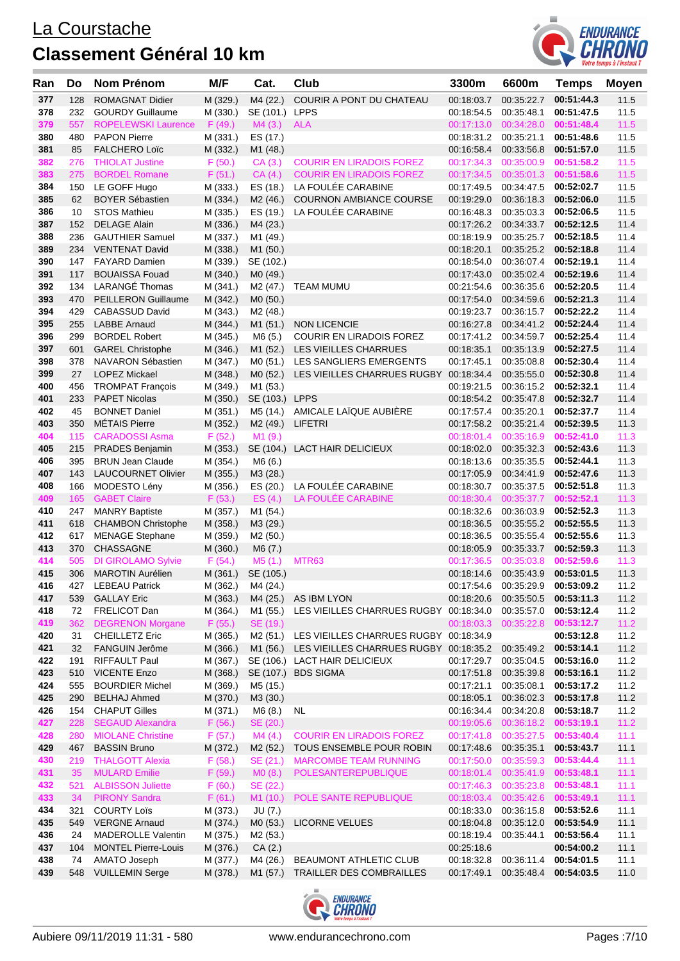

| Ran | Do  | Nom Prénom                 | M/F      | Cat.                 | Club                                              | 3300m                 | 6600m                   | <b>Temps</b> | <b>Moyen</b> |
|-----|-----|----------------------------|----------|----------------------|---------------------------------------------------|-----------------------|-------------------------|--------------|--------------|
| 377 | 128 | <b>ROMAGNAT Didier</b>     | M (329.) | M4 (22.)             | COURIR A PONT DU CHATEAU                          | 00:18:03.7            | 00:35:22.7              | 00:51:44.3   | 11.5         |
| 378 | 232 | <b>GOURDY Guillaume</b>    | M (330.) | SE (101.) LPPS       |                                                   | 00:18:54.5            | 00:35:48.1              | 00:51:47.5   | 11.5         |
| 379 | 557 | <b>ROPELEWSKI Laurence</b> | F(49.)   | M4(3.)               | <b>ALA</b>                                        |                       | 00:17:13.0 00:34:28.0   | 00:51:48.4   | 11.5         |
| 380 | 480 | <b>PAPON Pierre</b>        | M (331.) | ES (17.)             |                                                   | 00:18:31.2 00:35:21.1 |                         | 00:51:48.6   | 11.5         |
| 381 | 85  | <b>FALCHERO Loïc</b>       | M (332.) | M1 (48.)             |                                                   | 00:16:58.4            | 00:33:56.8              | 00:51:57.0   | 11.5         |
| 382 | 276 | <b>THIOLAT Justine</b>     | F(50.)   | CA(3.)               | <b>COURIR EN LIRADOIS FOREZ</b>                   | 00:17:34.3            | 00:35:00.9              | 00:51:58.2   | 11.5         |
| 383 | 275 | <b>BORDEL Romane</b>       | F(51.)   | CA(4.)               | <b>COURIR EN LIRADOIS FOREZ</b>                   |                       | 00:17:34.5 00:35:01.3   | 00:51:58.6   | 11.5         |
| 384 | 150 | LE GOFF Hugo               | M (333.) | ES (18.)             | LA FOULÉE CARABINE                                |                       | 00:17:49.5 00:34:47.5   | 00:52:02.7   | 11.5         |
| 385 | 62  | <b>BOYER Sébastien</b>     | M (334.) | M <sub>2</sub> (46.) | <b>COURNON AMBIANCE COURSE</b>                    | 00:19:29.0            | 00:36:18.3              | 00:52:06.0   | 11.5         |
| 386 | 10  | <b>STOS Mathieu</b>        | M (335.) | ES (19.)             | LA FOULÉE CARABINE                                |                       | 00:16:48.3 00:35:03.3   | 00:52:06.5   | 11.5         |
| 387 | 152 | <b>DELAGE Alain</b>        | M (336.) | M4 (23.)             |                                                   |                       | 00:17:26.2 00:34:33.7   | 00:52:12.5   | 11.4         |
| 388 | 236 | <b>GAUTHIER Samuel</b>     | M (337.) | M1 (49.)             |                                                   |                       | 00:18:19.9 00:35:25.7   | 00:52:18.5   | 11.4         |
| 389 |     | 234 VENTENAT David         | M (338.) | M1 (50.)             |                                                   | 00:18:20.1            | 00:35:25.2              | 00:52:18.8   | 11.4         |
| 390 |     | 147 FAYARD Damien          | M (339.) | SE (102.)            |                                                   |                       | 00:18:54.0 00:36:07.4   | 00:52:19.1   | 11.4         |
| 391 | 117 | <b>BOUAISSA Fouad</b>      | M (340.) | M0 (49.)             |                                                   | 00:17:43.0            | 00:35:02.4              | 00:52:19.6   | 11.4         |
| 392 | 134 | <b>LARANGÉ Thomas</b>      | M (341.) | M2 (47.)             | <b>TEAM MUMU</b>                                  |                       | 00:21:54.6 00:36:35.6   | 00:52:20.5   | 11.4         |
| 393 | 470 | PEILLERON Guillaume        | M (342.) | MO (50.)             |                                                   | 00:17:54.0            | 00:34:59.6              | 00:52:21.3   | 11.4         |
| 394 | 429 | <b>CABASSUD David</b>      | M (343.) | M <sub>2</sub> (48.) |                                                   |                       | 00:19:23.7 00:36:15.7   | 00:52:22.2   | 11.4         |
| 395 | 255 | <b>LABBE Arnaud</b>        | M (344.) | M1 (51.)             | <b>NON LICENCIE</b>                               |                       | 00:16:27.8 00:34:41.2   | 00:52:24.4   | 11.4         |
| 396 | 299 | <b>BORDEL Robert</b>       | M (345.) | M6(5.)               | COURIR EN LIRADOIS FOREZ                          |                       | 00:17:41.2 00:34:59.7   | 00:52:25.4   | 11.4         |
| 397 | 601 | <b>GAREL Christophe</b>    | M (346.) | M1 (52.)             | LES VIEILLES CHARRUES                             | 00:18:35.1            | 00:35:13.9              | 00:52:27.5   | 11.4         |
| 398 | 378 | NAVARON Sébastien          | M (347.) | MO (51.)             | LES SANGLIERS EMERGENTS                           | 00:17:45.1            | 00:35:08.8              | 00:52:30.4   | 11.4         |
| 399 | 27  | <b>LOPEZ Mickael</b>       | M (348.) | M0 (52.)             | LES VIEILLES CHARRUES RUGBY                       | 00:18:34.4            | 00:35:55.0              | 00:52:30.8   | 11.4         |
| 400 | 456 | <b>TROMPAT François</b>    | M (349.) | M1 (53.)             |                                                   |                       | 00:19:21.5 00:36:15.2   | 00:52:32.1   | 11.4         |
| 401 | 233 | <b>PAPET Nicolas</b>       | M (350.) | SE (103.) LPPS       |                                                   |                       | 00:18:54.2 00:35:47.8   | 00:52:32.7   | 11.4         |
| 402 | 45  | <b>BONNET Daniel</b>       | M (351.) | M5 (14.)             | AMICALE LAÏQUE AUBIÈRE                            |                       | 00:17:57.4 00:35:20.1   | 00:52:37.7   | 11.4         |
| 403 | 350 | <b>MÉTAIS Pierre</b>       | M (352.) | M <sub>2</sub> (49.) | <b>LIFETRI</b>                                    |                       | 00:17:58.2 00:35:21.4   | 00:52:39.5   | 11.3         |
| 404 | 115 | <b>CARADOSSI Asma</b>      | F(52.)   | M <sub>1</sub> (9.)  |                                                   | 00:18:01.4            | 00:35:16.9              | 00:52:41.0   | 11.3         |
| 405 | 215 | <b>PRADES Benjamin</b>     | M (353.) |                      | SE (104.) LACT HAIR DELICIEUX                     |                       | 00:18:02.0 00:35:32.3   | 00:52:43.6   | 11.3         |
| 406 | 395 | <b>BRUN Jean Claude</b>    | M (354.) | M6 (6.)              |                                                   |                       | 00:18:13.6 00:35:35.5   | 00:52:44.1   | 11.3         |
| 407 | 143 | <b>LAUCOURNET Olivier</b>  | M (355.) | M3 (28.)             |                                                   | 00:17:05.9 00:34:41.9 |                         | 00:52:47.6   | 11.3         |
| 408 | 166 | MODESTO Lény               | M (356.) | ES (20.)             | LA FOULÉE CARABINE                                |                       | 00:18:30.7 00:35:37.5   | 00:52:51.8   | 11.3         |
| 409 | 165 | <b>GABET Claire</b>        | F(53.)   | ES(4.)               | LA FOULÉE CARABINE                                |                       | 00:18:30.4  00:35:37.7  | 00:52:52.1   | 11.3         |
| 410 | 247 | <b>MANRY Baptiste</b>      | M (357.) | M1 (54.)             |                                                   | 00:18:32.6            | 00:36:03.9              | 00:52:52.3   | 11.3         |
| 411 |     | 618 CHAMBON Christophe     | M (358.) | M3 (29.)             |                                                   |                       | 00:18:36.5 00:35:55.2   | 00:52:55.5   | 11.3         |
| 412 | 617 | <b>MENAGE Stephane</b>     | M (359.) | M2 (50.)             |                                                   |                       | 00:18:36.5 00:35:55.4   | 00:52:55.6   | 11.3         |
| 413 | 370 | CHASSAGNE                  | M (360.) | M6(7.)               |                                                   | 00:18:05.9            | 00:35:33.7              | 00:52:59.3   | 11.3         |
| 414 | 505 | <b>DI GIROLAMO Sylvie</b>  | F(54)    | M5(1.)               | MTR63                                             | 00:17:36.5            | 00:35:03.8              | 00:52:59.6   | 11.3         |
| 415 | 306 | <b>MAROTIN Aurélien</b>    | M (361.) | SE (105.)            |                                                   | 00:18:14.6            | 00:35:43.9              | 00:53:01.5   | 11.3         |
| 416 | 427 | <b>LEBEAU Patrick</b>      | M (362.) | M4 (24.)             |                                                   | 00:17:54.6            | 00:35:29.9              | 00:53:09.2   | 11.2         |
| 417 | 539 | <b>GALLAY Eric</b>         | M (363.) |                      | M4 (25.) AS IBM LYON                              |                       | 00:18:20.6 00:35:50.5   | 00:53:11.3   | 11.2         |
| 418 | 72  | FRELICOT Dan               | M (364.) | M1 (55.)             | LES VIEILLES CHARRUES RUGBY 00:18:34.0            |                       | 00:35:57.0              | 00:53:12.4   | 11.2         |
| 419 | 362 | <b>DEGRENON Morgane</b>    | F(55.)   | SE (19.)             |                                                   |                       | 00:18:03.3 00:35:22.8   | 00:53:12.7   | 11.2         |
| 420 | 31  | <b>CHEILLETZ Eric</b>      | M (365.) |                      | M2 (51.) LES VIEILLES CHARRUES RUGBY 00:18:34.9   |                       |                         | 00:53:12.8   | 11.2         |
| 421 | 32  | FANGUIN Jerôme             | M (366.) | M1 (56.)             | LES VIEILLES CHARRUES RUGBY 00:18:35.2 00:35:49.2 |                       |                         | 00:53:14.1   | 11.2         |
| 422 | 191 | RIFFAULT Paul              | M (367.) |                      | SE (106.) LACT HAIR DELICIEUX                     |                       | 00:17:29.7 00:35:04.5   | 00:53:16.0   | 11.2         |
| 423 | 510 | <b>VICENTE Enzo</b>        | M (368.) |                      | SE (107.) BDS SIGMA                               |                       | 00:17:51.8 00:35:39.8   | 00:53:16.1   | 11.2         |
| 424 | 555 | <b>BOURDIER Michel</b>     | M (369.) | M5 (15.)             |                                                   | 00:17:21.1            | 00:35:08.1              | 00:53:17.2   | 11.2         |
| 425 | 290 | <b>BELHAJ Ahmed</b>        | M (370.) | M3 (30.)             |                                                   | 00:18:05.1            | 00:36:02.3              | 00:53:17.8   | 11.2         |
| 426 | 154 | <b>CHAPUT Gilles</b>       | M (371.) | M6 (8.)              | <b>NL</b>                                         |                       | 00:16:34.4 00:34:20.8   | 00:53:18.7   | 11.2         |
| 427 | 228 | <b>SEGAUD Alexandra</b>    | F(56.)   | SE (20.)             |                                                   |                       | 00:19:05.6 00:36:18.2   | 00:53:19.1   | 11.2         |
| 428 | 280 | <b>MIOLANE Christine</b>   | F(57.)   | M4(4.)               | <b>COURIR EN LIRADOIS FOREZ</b>                   |                       | 00:17:41.8 00:35:27.5   | 00:53:40.4   | 11.1         |
| 429 | 467 | <b>BASSIN Bruno</b>        | M (372.) | M <sub>2</sub> (52.) | TOUS ENSEMBLE POUR ROBIN                          |                       | 00:17:48.6 00:35:35.1   | 00:53:43.7   | 11.1         |
| 430 | 219 | <b>THALGOTT Alexia</b>     | F(58.)   | SE (21.)             | <b>MARCOMBE TEAM RUNNING</b>                      |                       | 00:17:50.0 00:35:59.3   | 00:53:44.4   | 11.1         |
| 431 | 35  | <b>MULARD Emilie</b>       | F(59.)   | MO(8.)               | POLESANTEREPUBLIQUE                               |                       | 00:18:01.4   00:35:41.9 | 00:53:48.1   | 11.1         |
| 432 | 521 | <b>ALBISSON Juliette</b>   | F(60.)   | SE (22.)             |                                                   |                       | 00:17:46.3 00:35:23.8   | 00:53:48.1   | 11.1         |
| 433 | 34  | <b>PIRONY Sandra</b>       | F(61.)   | M1 (10.)             | POLE SANTE REPUBLIQUE                             |                       | 00:18:03.4  00:35:42.6  | 00:53:49.1   | 11.1         |
| 434 | 321 | <b>COURTY Loïs</b>         | M (373.) | JU (7.)              |                                                   |                       | 00:18:33.0 00:36:15.8   | 00:53:52.6   | 11.1         |
| 435 | 549 | <b>VERGNE Arnaud</b>       | M (374.) | MO (53.)             | LICORNE VELUES                                    |                       | 00:18:04.8 00:35:12.0   | 00:53:54.9   | 11.1         |
| 436 | 24  | <b>MADEROLLE Valentin</b>  | M (375.) | M <sub>2</sub> (53.) |                                                   | 00:18:19.4 00:35:44.1 |                         | 00:53:56.4   | 11.1         |
| 437 | 104 | <b>MONTEL Pierre-Louis</b> | M (376.) | CA(2.)               |                                                   | 00:25:18.6            |                         | 00:54:00.2   | 11.1         |
| 438 | 74  | AMATO Joseph               | M (377.) | M4 (26.)             | BEAUMONT ATHLETIC CLUB                            |                       | 00:18:32.8 00:36:11.4   | 00:54:01.5   | 11.1         |
| 439 |     | 548 VUILLEMIN Serge        | M (378.) |                      | M1 (57.) TRAILLER DES COMBRAILLES                 | 00:17:49.1            | 00:35:48.4              | 00:54:03.5   | 11.0         |

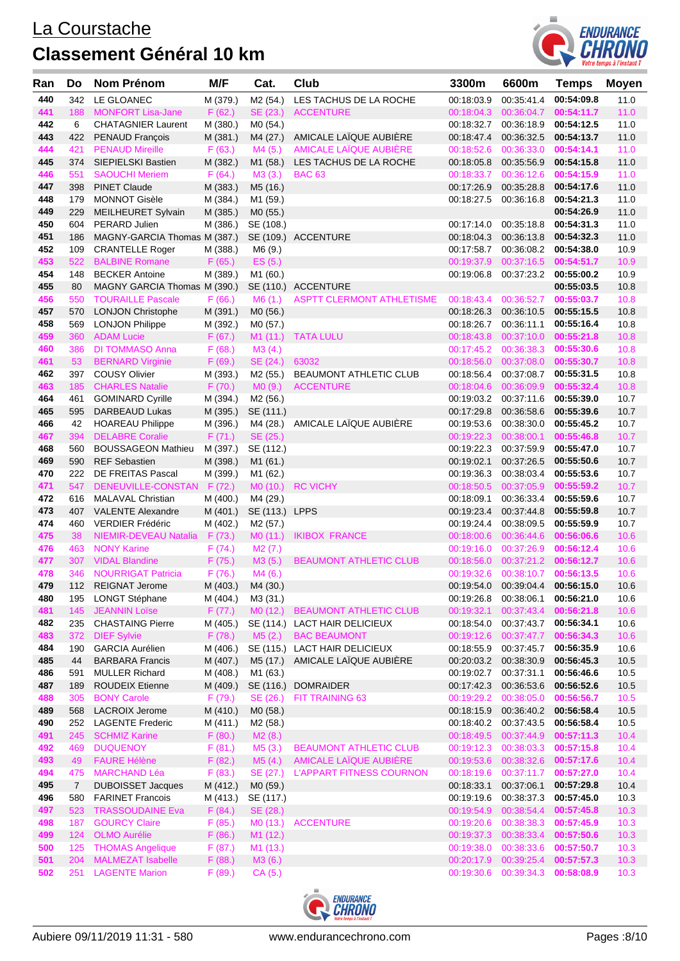

| Ran        | Do         | Nom Prénom                                         | M/F                  | Cat.                 | Club                             | 3300m                    | 6600m                              | <b>Temps</b>             | Moyen        |
|------------|------------|----------------------------------------------------|----------------------|----------------------|----------------------------------|--------------------------|------------------------------------|--------------------------|--------------|
| 440        | 342        | LE GLOANEC                                         | M (379.)             | M2 (54.)             | LES TACHUS DE LA ROCHE           | 00:18:03.9               | 00:35:41.4                         | 00:54:09.8               | 11.0         |
| 441        | 188        | <b>MONFORT Lisa-Jane</b>                           | F(62.)               |                      | SE (23.) ACCENTURE               | 00:18:04.3               | 00:36:04.7                         | 00:54:11.7               | 11.0         |
| 442        | 6          | <b>CHATAGNIER Laurent</b>                          | M (380.)             | M0 (54.)             |                                  | 00:18:32.7               | 00:36:18.9                         | 00:54:12.5               | 11.0         |
| 443        | 422        | PENAUD François                                    | M (381.)             | M4 (27.)             | AMICALE LAÏQUE AUBIÈRE           | 00:18:47.4               | 00:36:32.5                         | 00:54:13.7               | 11.0         |
| 444        | 421        | <b>PENAUD Mireille</b>                             | F(63.)               | M4 (5.)              | <b>AMICALE LAIQUE AUBIERE</b>    | 00:18:52.6               | 00:36:33.0                         | 00:54:14.1               | 11.0         |
| 445        | 374        | SIEPIELSKI Bastien                                 | M (382.)             | M1 (58.)             | LES TACHUS DE LA ROCHE           | 00:18:05.8               | 00:35:56.9                         | 00:54:15.8               | 11.0         |
| 446        | 551        | <b>SAOUCHI Meriem</b>                              | F(64.)               | M3(3.)               | <b>BAC 63</b>                    | 00:18:33.7               |                                    | 00:36:12.6 00:54:15.9    | 11.0         |
| 447        | 398        | <b>PINET Claude</b>                                | M (383.)             | M5 (16.)             |                                  | 00:17:26.9               | 00:35:28.8                         | 00:54:17.6               | 11.0         |
| 448        | 179        | <b>MONNOT Gisèle</b>                               | M (384.)             | M1 (59.)             |                                  | 00:18:27.5               | 00:36:16.8                         | 00:54:21.3               | 11.0         |
| 449        | 229        | <b>MEILHEURET Sylvain</b>                          | M (385.)             | M0 (55.)             |                                  |                          |                                    | 00:54:26.9               | 11.0         |
| 450        | 604        | PERARD Julien                                      | M (386.)             | SE (108.)            |                                  | 00:17:14.0               | 00:35:18.8                         | 00:54:31.3               | 11.0         |
| 451        | 186        | MAGNY-GARCIA Thomas M (387.)                       |                      |                      | SE (109.) ACCENTURE              | 00:18:04.3               | 00:36:13.8                         | 00:54:32.3               | 11.0         |
| 452        | 109        | <b>CRANTELLE Roger</b>                             | M (388.)             | M6 (9.)              |                                  | 00:17:58.7               | 00:36:08.2 00:54:38.0              |                          | 10.9         |
| 453        | 522        | <b>BALBINE Romane</b>                              | F(65.)               | ES (5.)              |                                  | 00:19:37.9               | 00:37:16.5 00:54:51.7              |                          | 10.9         |
| 454        | 148        | <b>BECKER Antoine</b>                              | M (389.)             | M1 (60.)             |                                  | 00:19:06.8               | 00:37:23.2                         | 00:55:00.2               | 10.9         |
| 455        | 80         | MAGNY GARCIA Thomas M (390.)                       |                      |                      | SE (110.) ACCENTURE              |                          |                                    | 00:55:03.5               | 10.8         |
| 456        | 550        | <b>TOURAILLE Pascale</b>                           | F(66.)               | M6(1.)               | <b>ASPTT CLERMONT ATHLETISME</b> | 00:18:43.4               | 00:36:52.7                         | 00:55:03.7<br>00:55:15.5 | 10.8         |
| 457<br>458 | 570<br>569 | <b>LONJON Christophe</b><br><b>LONJON Philippe</b> | M (391.)             | M0 (56.)             |                                  | 00:18:26.3<br>00:18:26.7 | 00:36:10.5<br>00:36:11.1           | 00:55:16.4               | 10.8<br>10.8 |
| 459        | 360        | <b>ADAM Lucie</b>                                  | M (392.)             | M0 (57.)             | M1 (11.) TATA LULU               | 00:18:43.8               |                                    | 00:37:10.0 00:55:21.8    | 10.8         |
| 460        | 386        | <b>DI TOMMASO Anna</b>                             | F(67.)<br>F(68.)     | M3(4.)               |                                  | 00:17:45.2               | 00:36:38.3                         | 00:55:30.6               | 10.8         |
| 461        | 53         | <b>BERNARD Virginie</b>                            | F(69.)               | SE (24.) 63032       |                                  |                          | 00:18:56.0 00:37:08.0 00:55:30.7   |                          | 10.8         |
| 462        | 397        | <b>COUSY Olivier</b>                               | M (393.)             | M2 (55.)             | BEAUMONT ATHLETIC CLUB           | 00:18:56.4               | 00:37:08.7 00:55:31.5              |                          | 10.8         |
| 463        | 185        | <b>CHARLES Natalie</b>                             | F(70.)               |                      | M0 (9.) ACCENTURE                |                          | 00:18:04.6  00:36:09.9  00:55:32.4 |                          | 10.8         |
| 464        | 461        | <b>GOMINARD Cyrille</b>                            | M (394.)             | M2 (56.)             |                                  |                          | 00:19:03.2 00:37:11.6 00:55:39.0   |                          | 10.7         |
| 465        | 595        | DARBEAUD Lukas                                     | M (395.)             | SE (111.)            |                                  | 00:17:29.8               | 00:36:58.6                         | 00:55:39.6               | 10.7         |
| 466        | 42         | <b>HOAREAU Philippe</b>                            | M (396.)             |                      | M4 (28.) AMICALE LAÏQUE AUBIÈRE  | 00:19:53.6               | 00:38:30.0                         | 00:55:45.2               | 10.7         |
| 467        | 394        | <b>DELABRE Coralie</b>                             | F(71.)               | SE (25.)             |                                  | 00:19:22.3               | 00:38:00.1                         | 00:55:46.8               | 10.7         |
| 468        | 560        | <b>BOUSSAGEON Mathieu</b>                          | M (397.)             | SE (112.)            |                                  | 00:19:22.3               | 00:37:59.9                         | 00:55:47.0               | 10.7         |
| 469        | 590        | <b>REF Sebastien</b>                               | M (398.)             | M1 (61.)             |                                  | 00:19:02.1               | 00:37:26.5                         | 00:55:50.6               | 10.7         |
| 470        | 222        | DE FREITAS Pascal                                  | M (399.)             | M1 (62.)             |                                  | 00:19:36.3               |                                    | 00:38:03.4 00:55:53.6    | 10.7         |
| 471        | 547        | DENEUVILLE-CONSTAN F (72.)                         |                      |                      | M0 (10.) RC VICHY                | 00:18:50.5               |                                    | 00:37:05.9 00:55:59.2    | 10.7         |
| 472        | 616        | MALAVAL Christian                                  | M (400.)             | M4 (29.)             |                                  | 00:18:09.1               |                                    | 00:36:33.4 00:55:59.6    | 10.7         |
| 473        | 407        | <b>VALENTE Alexandre</b>                           | M (401.)             | SE (113.) LPPS       |                                  | 00:19:23.4               | 00:37:44.8                         | 00:55:59.8               | 10.7         |
| 474        | 460        | VERDIER Frédéric                                   | M (402.)             | M <sub>2</sub> (57.) |                                  | 00:19:24.4               | 00:38:09.5                         | 00:55:59.9               | 10.7         |
| 475        | 38         | NIEMIR-DEVEAU Natalia                              | F(73.)               |                      | M0 (11.) IKIBOX FRANCE           |                          | 00:18:00.6  00:36:44.6  00:56:06.6 |                          | 10.6         |
| 476        | 463        | <b>NONY Karine</b>                                 | F(74.)               | M2(7.)               |                                  | 00:19:16.0               | 00:37:26.9                         | 00:56:12.4               | 10.6         |
| 477        | 307        | <b>VIDAL Blandine</b>                              | F(75.)               | M3 (5.)              | <b>BEAUMONT ATHLETIC CLUB</b>    |                          | 00:18:56.0  00:37:21.2  00:56:12.7 |                          | 10.6         |
| 478        | 346        | <b>NOURRIGAT Patricia</b>                          | F(76.)               | M4(6.)               |                                  | 00:19:32.6               | 00:38:10.7                         | 00:56:13.5               | 10.6         |
| 479        | 112        | <b>REIGNAT Jerome</b>                              | M (403.)             | M4 (30.)             |                                  | 00:19:54.0               | 00:39:04.4                         | 00:56:15.0               | 10.6         |
| 480        | 195        | <b>LONGT Stéphane</b>                              | M (404.)             | M3 (31.)             |                                  | 00:19:26.8               | 00:38:06.1                         | 00:56:21.0               | 10.6         |
| 481        | 145        | <b>JEANNIN Loïse</b>                               | F(77.)               | MO (12.)             | <b>BEAUMONT ATHLETIC CLUB</b>    | 00:19:32.1               | 00:37:43.4                         | 00:56:21.8               | 10.6         |
| 482        | 235        | <b>CHASTAING Pierre</b>                            | M (405.)             |                      | SE (114.) LACT HAIR DELICIEUX    | 00:18:54.0               | 00:37:43.7                         | 00:56:34.1               | 10.6         |
| 483        | 372        | <b>DIEF Sylvie</b>                                 | F(78.)               | M5(2.)               | <b>BAC BEAUMONT</b>              | 00:19:12.6               | 00:37:47.7                         | 00:56:34.3               | 10.6         |
| 484        | 190        | <b>GARCIA Aurélien</b>                             | M (406.)             |                      | SE (115.) LACT HAIR DELICIEUX    | 00:18:55.9               | 00:37:45.7                         | 00:56:35.9               | 10.6         |
| 485        | 44         | <b>BARBARA Francis</b>                             | M (407.)             | M5 (17.)<br>M1 (63.) | AMICALE LAÏQUE AUBIÈRE           | 00:20:03.2               | 00:38:30.9                         | 00:56:45.3<br>00:56:46.6 | 10.5         |
| 486<br>487 | 591<br>189 | <b>MULLER Richard</b><br><b>ROUDEIX Etienne</b>    | M (408.)<br>M (409.) |                      | SE (116.) DOMRAIDER              | 00:19:02.7<br>00:17:42.3 | 00:37:31.1<br>00:36:53.6           | 00:56:52.6               | 10.5<br>10.5 |
| 488        | 305        | <b>BONY Carole</b>                                 | F(79.)               | SE (26.)             | FIT TRAINING 63                  | 00:19:29.2               | 00:38:05.0                         | 00:56:56.7               | 10.5         |
| 489        | 568        | <b>LACROIX Jerome</b>                              | M (410.)             | M0 (58.)             |                                  | 00:18:15.9               | 00:36:40.2                         | 00:56:58.4               | 10.5         |
| 490        | 252        | <b>LAGENTE Frederic</b>                            | M (411.)             | M2 (58.)             |                                  | 00:18:40.2               | 00:37:43.5                         | 00:56:58.4               | 10.5         |
| 491        | 245        | <b>SCHMIZ Karine</b>                               | F(80.)               | M2(8.)               |                                  | 00:18:49.5               |                                    | 00:37:44.9 00:57:11.3    | 10.4         |
| 492        | 469        | <b>DUQUENOY</b>                                    | F(81.)               | M5(3.)               | <b>BEAUMONT ATHLETIC CLUB</b>    | 00:19:12.3               | 00:38:03.3                         | 00:57:15.8               | 10.4         |
| 493        | 49         | <b>FAURE Hélène</b>                                | F(82.)               | M5(4.)               | AMICALE LAÏQUE AUBIÈRE           | 00:19:53.6               | 00:38:32.6                         | 00:57:17.6               | 10.4         |
| 494        | 475        | <b>MARCHAND Léa</b>                                | F(83.)               | SE (27.)             | <b>L'APPART FITNESS COURNON</b>  | 00:18:19.6               | 00:37:11.7                         | 00:57:27.0               | 10.4         |
| 495        | 7          | <b>DUBOISSET Jacques</b>                           | M (412.)             | MO (59.)             |                                  | 00:18:33.1               | 00:37:06.1                         | 00:57:29.8               | 10.4         |
| 496        | 580        | <b>FARINET Francois</b>                            | M (413.)             | SE (117.)            |                                  | 00:19:19.6               | 00:38:37.3                         | 00:57:45.0               | 10.3         |
| 497        | 523        | <b>TRASSOUDAINE Eva</b>                            | F(84.)               | SE (28.)             |                                  | 00:19:54.9               | 00:38:54.4 00:57:45.8              |                          | 10.3         |
| 498        | 187        | <b>GOURCY Claire</b>                               | F(85.)               |                      | M0 (13.) ACCENTURE               | 00:19:20.6               | 00:38:38.3                         | 00:57:45.9               | 10.3         |
| 499        | 124        | <b>OLMO Aurélie</b>                                | F(86.)               | M1 (12.)             |                                  | 00:19:37.3               | 00:38:33.4                         | 00:57:50.6               | 10.3         |
| 500        | 125        | <b>THOMAS Angelique</b>                            | F(87.)               | M <sub>1</sub> (13.) |                                  | 00:19:38.0               | 00:38:33.6                         | 00:57:50.7               | 10.3         |
| 501        | 204        | <b>MALMEZAT Isabelle</b>                           | F(88.)               | M3(6.)               |                                  | 00:20:17.9               | 00:39:25.4                         | 00:57:57.3               | 10.3         |
| 502        | 251        | <b>LAGENTE Marion</b>                              | F(89.)               | CA (5.)              |                                  |                          | 00:19:30.6 00:39:34.3              | 00:58:08.9               | 10.3         |
|            |            |                                                    |                      |                      |                                  |                          |                                    |                          |              |

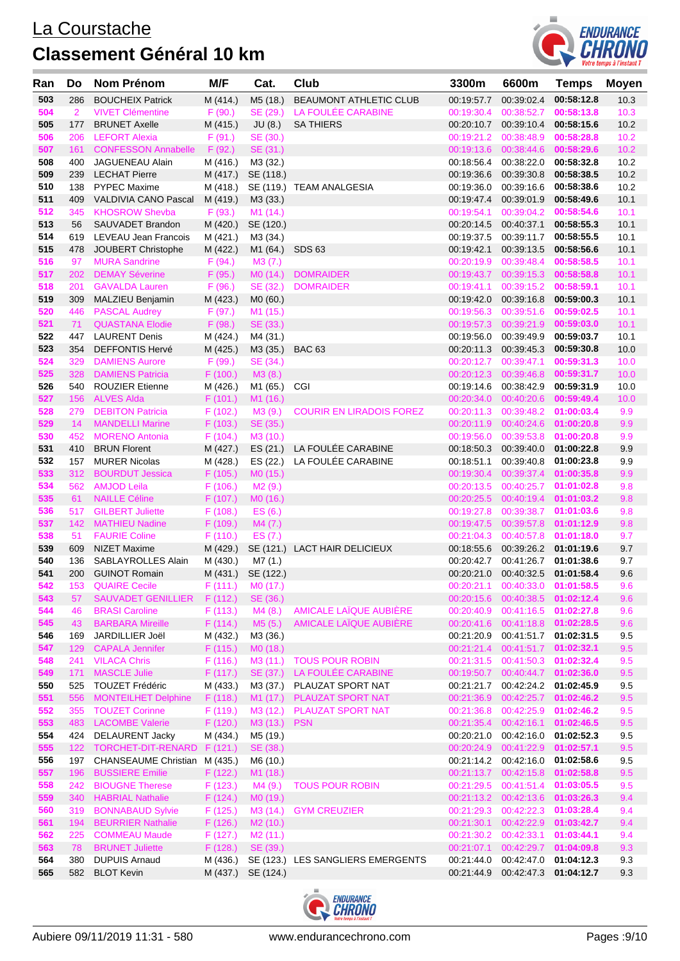

| Ran        | Do             | <b>Nom Prénom</b>                                   | M/F                | Cat.                             | Club                                   | 3300m      | 6600m                                                                  | <b>Temps</b>             | <b>Moyen</b> |
|------------|----------------|-----------------------------------------------------|--------------------|----------------------------------|----------------------------------------|------------|------------------------------------------------------------------------|--------------------------|--------------|
| 503        | 286            | <b>BOUCHEIX Patrick</b>                             | M (414.)           | M5 (18.)                         | BEAUMONT ATHLETIC CLUB                 | 00:19:57.7 | 00:39:02.4                                                             | 00:58:12.8               | 10.3         |
| 504        | $\overline{2}$ | <b>VIVET Clémentine</b>                             | F(90.)             | SE (29.)                         | LA FOULEE CARABINE                     | 00:19:30.4 | 00:38:52.7                                                             | 00:58:13.8               | 10.3         |
| 505        | 177            | <b>BRUNET Axelle</b>                                | M (415.)           | JU(8.)                           | <b>SA THIERS</b>                       |            | 00:20:10.7 00:39:10.4                                                  | 00:58:15.6               | 10.2         |
| 506        | 206            | <b>LEFORT Alexia</b>                                | F(91.)             | SE (30.)                         |                                        | 00:19:21.2 | 00:38:48.9                                                             | 00:58:28.8               | 10.2         |
| 507        | 161            | CONFESSON Annabelle F (92.)                         |                    | SE (31.)                         |                                        |            | 00:19:13.6 00:38:44.6 00:58:29.6                                       |                          | 10.2         |
| 508        | 400            | JAGUENEAU Alain                                     | M (416.)           | M3 (32.)                         |                                        | 00:18:56.4 | 00:38:22.0                                                             | 00:58:32.8               | 10.2         |
| 509        | 239            | <b>LECHAT Pierre</b>                                | M (417.)           | SE (118.)                        |                                        |            | 00:19:36.6 00:39:30.8 00:58:38.5                                       |                          | 10.2         |
| 510        | 138            | <b>PYPEC Maxime</b>                                 | M (418.)           |                                  | SE (119.) TEAM ANALGESIA               |            | 00:19:36.0 00:39:16.6                                                  | 00:58:38.6               | 10.2         |
| 511        | 409            | <b>VALDIVIA CANO Pascal</b>                         | M (419.)           | M3 (33.)                         |                                        |            | 00:19:47.4 00:39:01.9                                                  | 00:58:49.6               | 10.1         |
| 512        | 345            | <b>KHOSROW Shevba</b>                               | F (93.)            | M1 (14.)                         |                                        | 00:19:54.1 | 00:39:04.2                                                             | 00:58:54.6               | 10.1         |
| 513        | 56             | SAUVADET Brandon                                    | M (420.)           | SE (120.)                        |                                        |            | 00:20:14.5 00:40:37.1                                                  | 00:58:55.3               | 10.1         |
| 514        | 619            | LEVEAU Jean Francois                                | M (421.)           | M3 (34.)                         |                                        | 00:19:37.5 |                                                                        | 00:39:11.7 00:58:55.5    | 10.1         |
| 515<br>516 | 478            | JOUBERT Christophe                                  | M (422.)           | M1 (64.)                         | SDS 63                                 | 00:19:42.1 | 00:39:13.5                                                             | 00:58:56.6<br>00:58:58.5 | 10.1         |
| 517        | 97<br>202      | <b>MURA Sandrine</b><br><b>DEMAY Séverine</b>       | F(94.)             | M3(7.)<br>MO(14.)                | <b>DOMRAIDER</b>                       |            | 00:20:19.9 00:39:48.4<br>00:19:43.7  00:39:15.3  00:58:58.8            |                          | 10.1<br>10.1 |
| 518        | 201            | <b>GAVALDA Lauren</b>                               | F(95.)<br>F (96.)  | SE (32.)                         | <b>DOMRAIDER</b>                       |            | 00:19:41.1  00:39:15.2  00:58:59.1                                     |                          | 10.1         |
| 519        | 309            | MALZIEU Benjamin                                    | M (423.)           | MO (60.)                         |                                        | 00:19:42.0 | 00:39:16.8 00:59:00.3                                                  |                          | 10.1         |
| 520        | 446            | <b>PASCAL Audrey</b>                                | F(97.)             | M1 (15.)                         |                                        | 00:19:56.3 | 00:39:51.6                                                             | 00:59:02.5               | 10.1         |
| 521        | 71             | <b>QUASTANA Elodie</b>                              | F(98.)             | SE (33.)                         |                                        |            | 00:19:57.3  00:39:21.9  00:59:03.0                                     |                          | 10.1         |
| 522        | 447            | <b>LAURENT Denis</b>                                | M (424.)           | M4 (31.)                         |                                        | 00:19:56.0 | 00:39:49.9                                                             | 00:59:03.7               | 10.1         |
| 523        | 354            | <b>DEFFONTIS Hervé</b>                              | M (425.)           | M3 (35.)                         | <b>BAC 63</b>                          |            | 00:20:11.3 00:39:45.3 00:59:30.8                                       |                          | 10.0         |
| 524        | 329            | <b>DAMIENS Aurore</b>                               | F(99.)             | SE (34.)                         |                                        |            | 00:20:12.7 00:39:47.1                                                  | 00:59:31.3               | 10.0         |
| 525        | 328            | <b>DAMIENS Patricia</b>                             | F(100.)            | M3(8.)                           |                                        |            | 00:20:12.3 00:39:46.8                                                  | 00:59:31.7               | 10.0         |
| 526        |                | 540 ROUZIER Etienne                                 | M (426.)           | M1 (65.) CGI                     |                                        |            | 00:19:14.6 00:38:42.9                                                  | 00:59:31.9               | 10.0         |
| 527        | 156            | <b>ALVES Alda</b>                                   | F(101.)            | M1 (16.)                         |                                        |            | 00:20:34.0  00:40:20.6                                                 | 00:59:49.4               | 10.0         |
| 528        | 279            | <b>DEBITON Patricia</b>                             | F(102.)            | M3 (9.)                          | <b>COURIR EN LIRADOIS FOREZ</b>        |            | 00:20:11.3 00:39:48.2                                                  | 01:00:03.4               | 9.9          |
| 529        |                | 14 MANDELLI Marine                                  | F(103.)            | SE (35.)                         |                                        |            | 00:20:11.9 00:40:24.6 01:00:20.8                                       |                          | 9.9          |
| 530        | 452            | <b>MORENO Antonia</b>                               | F(104.)            | M3 (10.)                         |                                        | 00:19:56.0 | 00:39:53.8                                                             | 01:00:20.8               | 9.9          |
| 531        | 410            | <b>BRUN Florent</b>                                 | M (427.)           |                                  | ES (21.) LA FOULÉE CARABINE            |            | 00:18:50.3 00:39:40.0 01:00:22.8                                       |                          | 9.9          |
| 532        | 157            | <b>MURER Nicolas</b>                                | M (428.)           | ES (22.)                         | LA FOULÉE CARABINE                     | 00:18:51.1 | 00:39:40.8                                                             | 01:00:23.8               | 9.9          |
| 533        | 312            | <b>BOURDUT Jessica</b>                              | F(105.)            | MO (15.)                         |                                        |            | 00:19:30.4  00:39:37.4  01:00:35.8                                     |                          | 9.9          |
| 534        |                | 562 AMJOD Leila                                     | F(106.)            | M2 (9.)                          |                                        |            | 00:20:13.5 00:40:25.7                                                  | 01:01:02.8               | 9.8          |
| 535        | 61             | <b>NAILLE Céline</b>                                | F(107.)            | MO (16.)                         |                                        |            | 00:20:25.5 00:40:19.4 01:01:03.2                                       |                          | 9.8          |
| 536        | 517            | <b>GILBERT Juliette</b>                             | F(108.)            | ES(6.)                           |                                        |            | 00:19:27.8 00:39:38.7 01:01:03.6                                       |                          | 9.8          |
| 537        | 142            | <b>MATHIEU Nadine</b>                               | F(109.)            | M4(7.)                           |                                        |            | 00:19:47.5  00:39:57.8  01:01:12.9                                     |                          | 9.8          |
| 538<br>539 | 51             | <b>FAURIE Coline</b>                                | F(110.)            | ES(7.)                           |                                        |            | 00:21:04.3  00:40:57.8  01:01:18.0                                     |                          | 9.7          |
| 540        | 609            | <b>NIZET Maxime</b><br>136 SABLAYROLLES Alain       | M (430.) M7 (1.)   |                                  | M (429.) SE (121.) LACT HAIR DELICIEUX |            | 00:18:55.6 00:39:26.2 01:01:19.6<br>00:20:42.7 00:41:26.7 01:01:38.6   |                          | 9.7<br>9.7   |
| 541        | 200            | <b>GUINOT Romain</b>                                |                    | M (431.) SE (122.)               |                                        |            | 00:20:21.0 00:40:32.5 01:01:58.4                                       |                          | 9.6          |
| 542        | 153            | <b>QUAIRE Cecile</b>                                |                    | $F(111.)$ MO (17.)               |                                        |            | 00:20:21.1  00:40:33.0  01:01:58.5                                     |                          | 9.6          |
| 543        | 57             | SAUVADET GENILLIER F (112.)                         |                    | SE (36.)                         |                                        |            | 00:20:15.6 00:40:38.5 01:02:12.4                                       |                          | 9.6          |
| 544        | 46             | <b>BRASI Caroline</b>                               | F(113.)            | M4(8.)                           | AMICALE LAÏQUE AUBIÈRE                 |            | 00:20:40.9  00:41:16.5  01:02:27.8                                     |                          | 9.6          |
| 545        | 43             | <b>BARBARA Mireille</b>                             | F(114.)            | M5 (5.)                          | AMICALE LAÏQUE AUBIÈRE                 |            | 00:20:41.6 00:41:18.8 01:02:28.5                                       |                          | 9.6          |
| 546        | 169            | JARDILLIER Joël                                     | M (432.)           | M3 (36.)                         |                                        |            | 00:21:20.9 00:41:51.7 01:02:31.5                                       |                          | 9.5          |
| 547        | 129            | <b>CAPALA Jennifer</b>                              | F(115.)            | MO (18.)                         |                                        |            | 00:21:21.4   00:41:51.7   01:02:32.1                                   |                          | 9.5          |
| 548        | 241            | <b>VILACA Chris</b>                                 | F(116.)            |                                  | M3 (11.) TOUS POUR ROBIN               |            | 00:21:31.5  00:41:50.3  01:02:32.4                                     |                          | 9.5          |
| 549        |                | 171 MASCLE Julie                                    | F(117.)            |                                  | SE (37.) LA FOULÉE CARABINE            |            | 00:19:50.7  00:40:44.7  01:02:36.0                                     |                          | 9.5          |
| 550        | 525            | <b>TOUZET Frédéric</b>                              | M (433.)           | M3 (37.)                         | PLAUZAT SPORT NAT                      |            | 00:21:21.7 00:42:24.2 01:02:45.9                                       |                          | 9.5          |
| 551        | 556            | <b>MONTEILHET Delphine</b>                          | F(118.)            |                                  | M1 (17.) PLAUZAT SPORT NAT             |            | 00:21:36.9  00:42:25.7  01:02:46.2                                     |                          | 9.5          |
| 552        | 355            | <b>TOUZET Corinne</b>                               | F(119.)            |                                  | M3 (12.) PLAUZAT SPORT NAT             | 00:21:36.8 | 00:42:25.9                                                             | 01:02:46.2               | 9.5          |
| 553        | 483            | <b>LACOMBE Valerie</b>                              | F(120.)            | M3 (13.) PSN                     |                                        |            | 00:21:35.4   00:42:16.1                                                | 01:02:46.5               | 9.5          |
| 554        | 424            | <b>DELAURENT Jacky</b>                              | M (434.)           | M5 (19.)                         |                                        |            | 00:20:21.0 00:42:16.0 01:02:52.3                                       |                          | 9.5          |
| 555        |                | 122 TORCHET-DIT-RENARD F (121.)                     |                    | SE (38.)                         |                                        |            | 00:20:24.9   00:41:22.9   01:02:57.1                                   |                          | 9.5          |
| 556        | 197            | CHANSEAUME Christian M (435.)                       |                    | M6 (10.)                         |                                        |            | 00:21:14.2 00:42:16.0 01:02:58.6                                       |                          | 9.5          |
| 557        | 196            | <b>BUSSIERE Emilie</b>                              | F(122.)            | M1 (18.)                         |                                        |            | 00:21:13.7  00:42:15.8  01:02:58.8                                     |                          | 9.5          |
| 558        | 242            | <b>BIOUGNE Therese</b>                              | F(123.)            | M4 (9.)                          | <b>TOUS POUR ROBIN</b>                 |            | 00:21:29.5  00:41:51.4                                                 | 01:03:05.5               | 9.5          |
| 559        | 340            | <b>HABRIAL Nathalie</b>                             | F(124.)            | MO (19.)                         |                                        |            | 00:21:13.2 00:42:13.6 01:03:26.3                                       |                          | 9.4          |
| 560<br>561 | 319            | <b>BONNABAUD Sylvie</b><br><b>BEURRIER Nathalie</b> | F(125.)            |                                  | M3 (14.) GYM CREUZIER                  |            | 00:21:29.3 00:42:22.3 01:03:28.4<br>00:21:30.1  00:42:22.9  01:03:42.7 |                          | 9.4          |
| 562        | 194<br>225     | <b>COMMEAU Maude</b>                                | F(126.)            | M <sub>2</sub> (10.)             |                                        |            | 00:21:30.2  00:42:33.1  01:03:44.1                                     |                          | 9.4<br>9.4   |
| 563        | 78             | <b>BRUNET Juliette</b>                              | F(127.)<br>F(128.) | M <sub>2</sub> (11.)<br>SE (39.) |                                        |            | 00:21:07.1  00:42:29.7  01:04:09.8                                     |                          | 9.3          |
| 564        | 380            | <b>DUPUIS Arnaud</b>                                | M (436.)           |                                  | SE (123.) LES SANGLIERS EMERGENTS      | 00:21:44.0 |                                                                        | 00:42:47.0  01:04:12.3   | 9.3          |
| 565        | 582            | <b>BLOT Kevin</b>                                   |                    | M (437.) SE (124.)               |                                        |            | 00:21:44.9 00:42:47.3 01:04:12.7                                       |                          | 9.3          |
|            |                |                                                     |                    |                                  |                                        |            |                                                                        |                          |              |